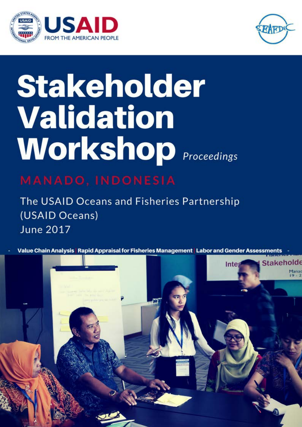



# **Stakeholder** Validation **Workshop** *Proceedings*

The USAID Oceans and Fisheries Partnership (USAID Oceans) **June 2017** 

Value Chain Analysis | Rapid Appraisal for Fisheries Management | Labor and Gender Assessments

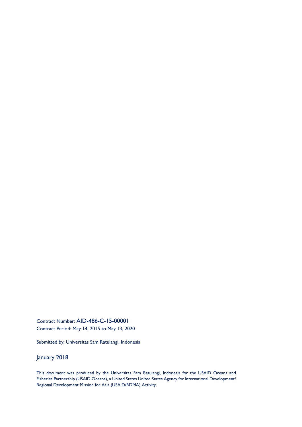Contract Number: AID-486-C-15-00001 Contract Period: May 14, 2015 to May 13, 2020

Submitted by: Universitas Sam Ratulangi, Indonesia

January 2018

This document was produced by the Universitas Sam Ratulangi, Indonesia for the USAID Oceans and Fisheries Partnership (USAID Oceans), a United States United States Agency for International Development/ Regional Development Mission for Asia (USAID/RDMA) Activity.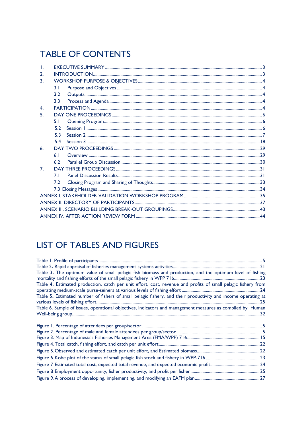# **TABLE OF CONTENTS**

| 2.               |                |  |  |  |  |  |
|------------------|----------------|--|--|--|--|--|
| $\overline{3}$ . |                |  |  |  |  |  |
|                  | 3.1            |  |  |  |  |  |
|                  | 3.2            |  |  |  |  |  |
|                  | 3.3            |  |  |  |  |  |
| $\mathbf{4}$     |                |  |  |  |  |  |
| 5.               |                |  |  |  |  |  |
|                  | 5.1            |  |  |  |  |  |
|                  | 5.2            |  |  |  |  |  |
|                  | 53             |  |  |  |  |  |
|                  | 5.4            |  |  |  |  |  |
| 6.               |                |  |  |  |  |  |
|                  | 6 <sub>1</sub> |  |  |  |  |  |
|                  | 6.2            |  |  |  |  |  |
| 7 <sub>1</sub>   |                |  |  |  |  |  |
|                  | 7 I            |  |  |  |  |  |
|                  | 7.2            |  |  |  |  |  |
|                  |                |  |  |  |  |  |
|                  |                |  |  |  |  |  |
|                  |                |  |  |  |  |  |
|                  |                |  |  |  |  |  |
|                  |                |  |  |  |  |  |

# **LIST OF TABLES AND FIGURES**

| Table 3. The optimum value of small pelagic fish biomass and production, and the optimum level of fishing     |  |
|---------------------------------------------------------------------------------------------------------------|--|
| Table 4. Estimated production, catch per unit effort, cost, revenue and profits of small pelagic fishery from |  |
| Table 5. Estimated number of fishers of small pelagic fishery, and their productivity and income operating at |  |
| Table 6. Sample of issues, operational objectives, indicators and management measures as compiled by Human    |  |
|                                                                                                               |  |
|                                                                                                               |  |
|                                                                                                               |  |
|                                                                                                               |  |
|                                                                                                               |  |
|                                                                                                               |  |
|                                                                                                               |  |
|                                                                                                               |  |
|                                                                                                               |  |
|                                                                                                               |  |
|                                                                                                               |  |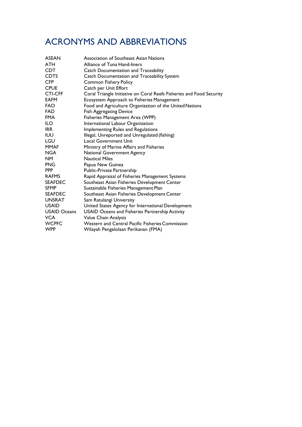# ACRONYMS AND ABBREVIATIONS

| <b>ASEAN</b>        | Association of Southeast Asian Nations                               |
|---------------------|----------------------------------------------------------------------|
| <b>ATH</b>          | Alliance of Tuna Hand-liners                                         |
| <b>CDT</b>          | <b>Catch Documentation and Traceability</b>                          |
| <b>CDTS</b>         | Catch Documentation and Traceability System                          |
| <b>CFP</b>          | <b>Common Fishery Policy</b>                                         |
| <b>CPUE</b>         | Catch per Unit Effort                                                |
| <b>CTI-CFF</b>      | Coral Triangle Initiative on Coral Reefs Fisheries and Food Security |
| <b>EAFM</b>         | Ecosystem Approach to Fisheries Management                           |
| FAO                 | Food and Agriculture Organization of the United Nations              |
| <b>FAD</b>          | <b>Fish Aggregating Device</b>                                       |
| <b>FMA</b>          | Fisheries Management Area (WPP)                                      |
| ILO.                | International Labour Organization                                    |
| IRR.                | Implementing Rules and Regulations                                   |
| <b>IUU</b>          | Illegal, Unreported and Unregulated (fishing)                        |
| LGU                 | <b>Local Government Unit</b>                                         |
| MMAF                | Ministry of Marine Affairs and Fisheries                             |
| NGA                 | National Government Agency                                           |
| <b>NM</b>           | <b>Nautical Miles</b>                                                |
| <b>PNG</b>          | Papua New Guinea                                                     |
| <b>PPP</b>          | Public-Private Partnership                                           |
| <b>RAFMS</b>        | Rapid Appraisal of Fisheries Management Systems                      |
| <b>SEAFDEC</b>      | Southeast Asian Fisheries Development Center                         |
| <b>SFMP</b>         | Sustainable Fisheries Management Plan                                |
| <b>SEAFDEC</b>      | Southeast Asian Fisheries Development Center                         |
| <b>UNSRAT</b>       | Sam Ratulangi University                                             |
| <b>USAID</b>        | United States Agency for International Development                   |
| <b>USAID Oceans</b> | USAID Oceans and Fisheries Partnership Activity                      |
| VCA                 | Value Chain Analysis                                                 |
| <b>WCPFC</b>        | Western and Central Pacific Fisheries Commission                     |
| <b>WPP</b>          | Wilayah Pengelolaan Perikanan (FMA)                                  |
|                     |                                                                      |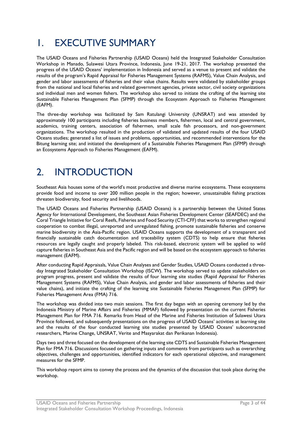# <span id="page-4-0"></span>1. EXECUTIVE SUMMARY

The USAID Oceans and Fisheries Partnership (USAID Oceans) held the Integrated Stakeholder Consultation Workshop in Manado, Sulawesi Utara Province, Indonesia, June 19-21, 2017. The workshop presented the progress of the USAID Oceans' implementation in Indonesia and served as a venue to present and validate the results of the program's Rapid Appraisal for Fisheries Management Systems (RAFMS), Value Chain Analysis, and gender and labor assessments of fisheries and their value chains. Results were validated by stakeholder groups from the national and local fisheries and related government agencies, private sector, civil society organizations and individual men and women fishers. The workshop also served to initiate the crafting of the learning site Sustainable Fisheries Management Plan (SFMP) through the Ecosystem Approach to Fisheries Management (EAFM).

The three-day workshop was facilitated by Sam Ratulangi University (UNSRAT) and was attended by approximately 100 participants including fisheries business members, fishermen, local and central government, academics, training centers, association of fishermen, small scale fish processors, and non-government organizations. The workshop resulted in the production of validated and updated results of the four USAID Oceans studies; generated a list of issues and problems, opportunities, and recommended interventions for the Bitung learning site; and initiated the development of a Sustainable Fisheries Management Plan (SFMP) through an Ecosystems Approach to Fisheries Management (EAFM).

# <span id="page-4-1"></span>2. INTRODUCTION

Southeast Asia houses some of the world's most productive and diverse marine ecosystems. These ecosystems provide food and income to over 200 million people in the region; however, unsustainable fishing practices threaten biodiversity, food security and livelihoods.

The USAID Oceans and Fisheries Partnership (USAID Oceans) is a partnership between the United States Agency for International Development, the Southeast Asian Fisheries Development Center (SEAFDEC) and the Coral Triangle Initiative for Coral Reefs, Fisheries and Food Security (CTI-CFF) that works to strengthen regional cooperation to combat illegal, unreported and unregulated fishing, promote sustainable fisheries and conserve marine biodiversity in the Asia-Pacific region. USAID Oceans supports the development of a transparent and financially sustainable catch documentation and traceability system (CDTS) to help ensure that fisheries resources are legally caught and properly labeled. This risk-based, electronic system will be applied to wild capture fisheries in Southeast Asia and the Pacific region and will be based on the ecosystem approach to fisheries management (EAFM).

After conducting Rapid Appraisals, Value Chain Analyses and Gender Studies, USAID Oceans conducted a threeday Integrated Stakeholder Consultation Workshop (ISCW). The workshop served to update stakeholders on program progress, present and validate the results of four learning site studies (Rapid Appraisal for Fisheries Management Systems (RAFMS), Value Chain Analysis, and gender and labor assessments of fisheries and their value chains), and initiate the crafting of the learning site Sustainable Fisheries Management Plan (SFMP) for Fisheries Management Area (FMA) 716.

The workshop was divided into two main sessions. The first day began with an opening ceremony led by the Indonesia Ministry of Marine Affairs and Fisheries (MMAF) followed by presentation on the current Fisheries Management Plan for FMA 716. Remarks from Head of the Marine and Fisheries Institution of Sulawesi Utara Province followed, and subsequently presentations on the progress of USAID Oceans' activities at learning site and the results of the four conducted learning site studies presented by USAID Oceans' subcontracted researchers, Marine Change, UNSRAT, Verite and Masyarakat dan Perikanan Indonesia).

Days two and three focused on the development of the learning site CDTS and Sustainable Fisheries Management Plan for FMA 716. Discussions focused on gathering inputs and comments from participants such as overarching objectives, challenges and opportunities, identified indicators for each operational objective, and management measures for the SFMP.

This workshop report aims to convey the process and the dynamics of the discussion that took place during the workshop.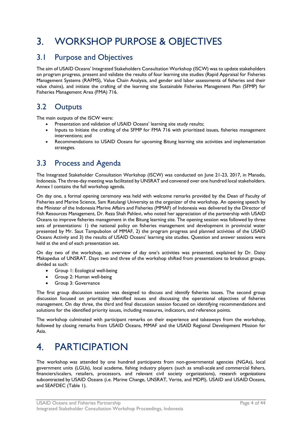# <span id="page-5-0"></span>3. WORKSHOP PURPOSE & OBJECTIVES

# <span id="page-5-1"></span>3.1 Purpose and Objectives

The aim of USAID Oceans' Integrated Stakeholders Consultation Workshop (ISCW) was to update stakeholders on program progress, present and validate the results of four learning site studies (Rapid Appraisal for Fisheries Management Systems (RAFMS), Value Chain Analysis, and gender and labor assessments of fisheries and their value chains), and initiate the crafting of the learning site Sustainable Fisheries Management Plan (SFMP) for Fisheries Management Area (FMA) 716.

# <span id="page-5-2"></span>3.2 Outputs

The main outputs of the ISCW were:

- Presentation and validation of USAID Oceans' learning site study results;
- Inputs to Initiate the crafting of the SFMP for FMA 716 with prioritized issues, fisheries management interventions; and
- Recommendations to USAID Oceans for upcoming Bitung learning site activities and implementation strategies.

# <span id="page-5-3"></span>3.3 Process and Agenda

The Integrated Stakeholder Consultation Workshop (ISCW) was conducted on June 21-23, 2017, in Manado, Indonesia. The three-day meeting was facilitated by UNSRAT and convened over one hundred local stakeholders. Annex I contains the full workshop agenda.

On day one, a formal opening ceremony was held with welcome remarks provided by the Dean of Faculty of Fisheries and Marine Science, Sam Ratulangi University as the organizer of the workshop. An opening speech by the Minister of the Indonesia Marine Affairs and Fisheries (MMAF) of Indonesia was delivered by the Director of Fish Resources Management, Dr. Reza Shah Pahlevi, who noted her appreciation of the partnership with USAID Oceans to improve fisheries management in the Bitung learning site. The opening session was followed by three sets of presentations: 1) the national policy on fisheries management and development in provincial water presented by Mr. Saut Tampubolon of MMAF, 2) the program progress and planned activities of the USAID Oceans Activity and 3) the results of USAID Oceans' learning site studies. Question and answer sessions were held at the end of each presentation set.

On day two of the workshop, an overview of day one's activities was presented, explained by Dr. Daisy Makapedua of UNSRAT. Days two and three of the workshop shifted from presentations to breakout groups, divided as such:

- Group 1: Ecological well-being
- Group 2: Human well-being
- Group 3: Governance

The first group discussion session was designed to discuss and identify fisheries issues. The second group discussion focused on prioritizing identified issues and discussing the operational objectives of fisheries management. On day three, the third and final discussion session focused on identifying recommendations and solutions for the identified priority issues, including measures, indicators, and reference points.

The workshop culminated with participant remarks on their experience and takeaways from the workshop, followed by closing remarks from USAID Oceans, MMAF and the USAID Regional Development Mission for Asia.

# <span id="page-5-4"></span>4. PARTICIPATION

The workshop was attended by one hundred participants from non-governmental agencies (NGAs), local government units (LGUs), local academe, fishing industry players (such as small-scale and commercial fishers, financiers/scalers, retailers, processors, and relevant civil society organizations), research organizations subcontracted by USAID Oceans (i.e. Marine Change, UNSRAT, Verite, and MDPI), USAID and USAID Oceans, and SEAFDEC (Table 1).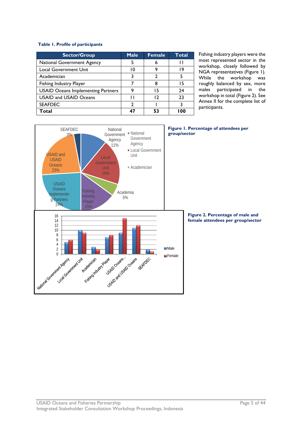#### **Table 1. Profile of participants**

| <b>Sector/Group</b>                       | <b>Male</b> | <b>Female</b> | <b>Total</b> |
|-------------------------------------------|-------------|---------------|--------------|
| National Government Agency                |             |               |              |
| <b>Local Government Unit</b>              | 10          | q             | 19           |
| Academician                               |             |               |              |
| Fishing Industry Player                   |             |               | 15           |
| <b>USAID Oceans Implementing Partners</b> | 9           | 15            | 24           |
| <b>USAID and USAID Oceans</b>             |             | ี่ ว          | 23           |
| <b>SEAFDEC</b>                            | າ           |               |              |
| Total                                     | 47          | 53            | I 00         |

<span id="page-6-1"></span><span id="page-6-0"></span>Fishing industry players were the most represented sector in the workshop, closely followed by NGA representatives (Figure 1). While the workshop was roughly balanced by sex, more males participated in the workshop in total (Figure 2). See Annex II for the complete list of participants.

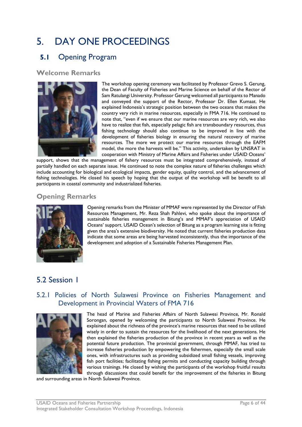# <span id="page-7-0"></span>5. DAY ONE PROCEEDINGS

# <span id="page-7-1"></span>**5.1** Opening Program

**Welcome Remarks**



The workshop opening ceremony was facilitated by Professor Grevo S. Gerung, the Dean of Faculty of Fisheries and Marine Science on behalf of the Rector of Sam Ratulangi University. Professor Gerung welcomed all participants to Manado and conveyed the support of the Rector, Professor Dr. Ellen Kumaat. He explained Indonesia's strategic position between the two oceans that makes the country very rich in marine resources, especially in FMA 716. He continued to note that, "even if we ensure that our marine resources are very rich, we also have to realize that fish, especially pelagic fish are transboundary resources, thus fishing technology should also continue to be improved in line with the development of fisheries biology in ensuring the natural recovery of marine resources. The more we protect our marine resources through the EAFM model, the more the harvests will be." This activity, undertaken by UNSRAT in cooperation with Ministry of Marine Affairs and Fisheries under USAID Oceans'

support, shows that the management of fishery resources must be integrated comprehensively, instead of partially handled on each separate issue. He continued to note the complex nature of fisheries challenges which include accounting for biological and ecological impacts, gender equity, quality control, and the advancement of fishing technologies. He closed his speech by hoping that the output of the workshop will be benefit to all participants in coastal community and industrialized fisheries.

# **Opening Remarks**



Opening remarks from the Minister of MMAF were represented by the Director of Fish Resources Management, Mr. Reza Shah Pahlevi, who spoke about the importance of sustainable fisheries management in Bitung's and MMAF's appreciation of USAID Oceans' support. USAID Ocean's selection of Bitung as a program learning site is fitting given the area's extensive biodiversity. He noted that current fisheries production data indicate that some areas are being harvested inconsistently, thus the importance of the development and adoption of a Sustainable Fisheries Management Plan.

# <span id="page-7-2"></span>5.2 Session 1

# 5.2.1 Policies of North Sulawesi Province on Fisheries Management and Development in Provincial Waters of FMA 716



The head of Marine and Fisheries Affairs of North Sulawesi Province, Mr. Ronald Sorongan, opened by welcoming the participants to North Sulawesi Province. He explained about the richness of the province's marine resources that need to be utilized wisely in order to sustain the resources for the livelihood of the next generations. He then explained the fisheries production of the province in recent years as well as the potential future production. The provincial government, through MMAF, has tried to increase fisheries production by empowering the fishermen, especially the small scale ones, with infrastructures such as providing subsidized small fishing vessels, improving fish port facilities; facilitating fishing permits and conducting capacity building through various trainings. He closed by wishing the participants of the workshop fruitful results through discussions that could benefit for the improvement of the fisheries in Bitung

and surrounding areas in North Sulawesi Province.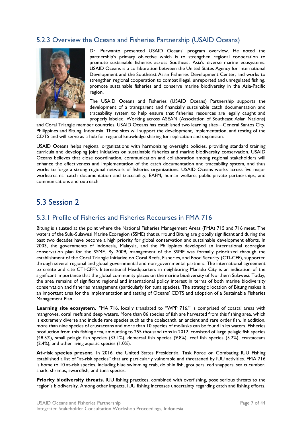### 5.2.3 Overview the Oceans and Fisheries Partnership (USAID Oceans)



Dr. Purwanto presented USAID Oceans' program overview. He noted the partnership's primary objective which is to strengthen regional cooperation to promote sustainable fisheries across Southeast Asia's diverse marine ecosystems. USAID Oceans is a collaboration between the United States Agency for International Development and the Southeast Asian Fisheries Development Center, and works to strengthen regional cooperation to combat illegal, unreported and unregulated fishing, promote sustainable fisheries and conserve marine biodiversity in the Asia-Pacific region.

The USAID Oceans and Fisheries (USAID Oceans) Partnership supports the development of a transparent and financially sustainable catch documentation and traceability system to help ensure that fisheries resources are legally caught and properly labeled. Working across ASEAN (Association of Southeast Asian Nations)

and Coral Triangle member countries, USAID Oceans has established two learning sites—General Santos City, Philippines and Bitung, Indonesia. These sites will support the development, implementation, and testing of the CDTS and will serve as a hub for regional knowledge sharing for replication and expansion.

USAID Oceans helps regional organizations with harmonizing oversight policies, providing standard training curricula and developing joint initiatives on sustainable fisheries and marine biodiversity conservation. USAID Oceans believes that close coordination, communication and collaboration among regional stakeholders will enhance the effectiveness and implementation of the catch documentation and traceability system, and thus works to forge a strong regional network of fisheries organizations. USAID Oceans works across five major workstreams: catch documentation and traceability, EAFM, human welfare, public-private partnerships, and communications and outreach.

# <span id="page-8-0"></span>5.3 Session 2

### 5.3.1 Profile of Fisheries and Fisheries Recourses in FMA 716

Bitung is situated at the point where the National Fisheries Management Areas (FMA) 715 and 716 meet. The waters of the Sulu-Sulawesi Marine Ecoregion (SSME) that surround Bitung are globally significant and during the past two decades have become a high priority for global conservation and sustainable development efforts. In 2003, the governments of Indonesia, Malaysia, and the Philippines developed an international ecoregion conservation plan for the SSME. By 2009, management of the SSME was formally prioritized through the establishment of the Coral Triangle Initiative on Coral Reefs, Fisheries, and Food Security (CTI-CFF), supported through several regional and global governmental and non-governmental partners. The international agreement to create and cite CTI-CFF's International Headquarters in neighboring Manado City is an indication of the significant importance that the global community places on the marine biodiversity of Northern Sulawesi. Today, the area remains of significant regional and international policy interest in terms of both marine biodiversity conservation and fisheries management (particularly for tuna species). The strategic location of Bitung makes it an important area for the implementation and testing of Oceans' CDTS and adoption of a Sustainable Fisheries Management Plan.

**Learning site ecosystem.** FMA 716, locally translated to "WPP 716," is comprised of coastal areas with mangroves, coral reefs and deep waters. More than 86 species of fish are harvested from this fishing area, which is extremely diverse and include rare species such as the coelacanth, an ancient and rare order fish. In addition, more than nine species of crustaceans and more than 10 species of mollusks can be found in its waters. Fisheries production from this fishing area, amounting to 255 thousand tons in 2012, consisted of large pelagic fish species (48.5%), small pelagic fish species (33.1%), demersal fish species (9.8%), reef fish species (5.2%), crustaceans (2.4%), and other living aquatic species (1.0%).

**At-risk species present.** In 2016, the United States Presidential Task Force on Combating IUU Fishing established a list of "at-risk species" that are particularly vulnerable and threatened by IUU activities. FMA 716 is home to 10 at-risk species, including blue swimming crab, dolphin fish, groupers, red snappers, sea cucumber, shark, shrimps, swordfish, and tuna species.

**Priority biodiversity threats.** IUU fishing practices, combined with overfishing, pose serious threats to the region's biodiversity. Among other impacts, IUU fishing increases uncertainty regarding catch and fishing efforts.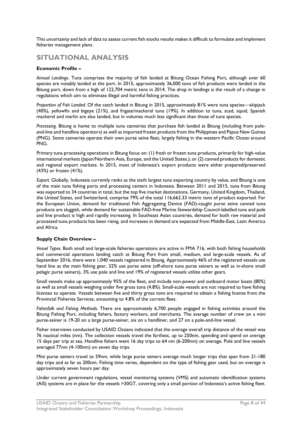This uncertainty and lack of data to assess current fish stocks results makes it difficult to formulate and implement fisheries management plans.

# **SITUATIONAL ANALYSIS**

#### **Economic Profile –**

*Annual Landings*. Tuna comprises the majority of fish landed at Bitung Ocean Fishing Port, although over 60 species are notably landed at the port. In 2015, approximately 36,000 tons of fish products were landed in the Bitung port, down from a high of 122,704 metric tons in 2014. The drop in landings is the result of a change in regulations which aim to eliminate illegal and harmful fishing practices.

*Proportion of Fish Landed.* Of the catch landed in Bitung in 2015, approximately 81% were tuna species—skipjack (40%), yellowfin and bigeye (21%), and frigate/mackerel tuna (19%). In addition to tuna, scad, squid, Spanish mackerel and marlin are also landed, but in volumes much less significant than those of tuna species.

*Processing.* Bitung is home to multiple tuna canneries that purchase fish landed at Bitung (including from poleand-line and handline operators) as well as imported frozen products from the Philippines and Papua New Guinea (PNG). Some canneries operate their own purse seine fleet, largely fishing in the western Pacific Ocean around PNG.

Primary tuna processing operations in Bitung focus on: (1) fresh or frozen tuna products, primarily for high-value international markets (Japan/Northern Asia, Europe, and the United States.); or (2) canned products for domestic and regional export markets. In 2015, most of Indonesia's export products were either prepared/preserved (43%) or frozen (41%).

*Export.* Globally, Indonesia currently ranks as the sixth largest tuna exporting country by value, and Bitung is one of the main tuna fishing ports and processing centers in Indonesia. Between 2011 and 2015, tuna from Bitung was exported to 34 countries in total, but the top five market destinations, Germany, United Kingdom, Thailand, the United States, and Switzerland, comprise 79% of the total 116,662.33 metric tons of product exported. For the European Union, demand for traditional Fish Aggregating Device (FAD)-caught purse seine canned tuna products are sluggish, while demand for sustainable FAD-free Marine Stewardship Council-labelled tuna and pole and line product is high and rapidly increasing. In Southeast Asian countries, demand for both raw material and processed tuna products has been rising, and increases in demand are expected from Middle-East, Latin America and Africa.

#### **Supply Chain Overview –**

*Vessel Types.* Both small and large-scale fisheries operations are active in FMA 716, with both fishing households and commercial operations landing catch at Bitung Port from small, medium, and large-scale vessels. As of September 2016, there were 1,040 vessels registered in Bitung. Approximately 46% of the registered vessels use hand line as the main fishing gear, 32% use purse seine (off-shore tuna purse seiners as well as in-shore small pelagic purse seiners), 3% use pole and line and 19% of registered vessels utilize other gears.

Small vessels make up approximately 95% of the fleet, and include non-power and outboard motor boats (80%) as well as small vessels weighing under five gross tons (4.8%). Small-scale vessels are not required to have fishing licenses to operate. Vessels between five and thirty gross tons are required to obtain a fishing license from the Provincial Fisheries Services, amounting to 4.8% of the current fleet.

*Fisherfolk and Fishing Methods.* There are approximately 6,700 people engaged in fishing activities around the Bitung Fishing Port, including fishers, factory workers, and merchants. The average number of crew on a mini purse-seiner is 19-20 on a large purse-seiner, six on a handliner, and 27 on a pole-and-line vessel.

Fisher interviews conducted by USAID Oceans indicated that the average overall trip distance of the vessel was 76 nautical miles (nm). The collection vessels travel the farthest, up to 250nm, spending and spend on average 15 days per trip at sea. Handline fishers went 16 day trips to 64 nm (6-200nm) on average. Pole and line vessels averaged 77nm (4-100nm) on seven day trips.

Mini purse seiners travel to 59nm, while large purse seiners average much longer trips that span from 21-180 day trips and as far as 200nm. Fishing time varies, dependent on the type of fishing gear used, but on average is approximately seven hours per day.

Under current government regulations, vessel monitoring systems (VMS) and automatic identification systems (AIS) systems are in place for the vessels >30GT, covering only a small portion of Indonesia's active fishing fleet.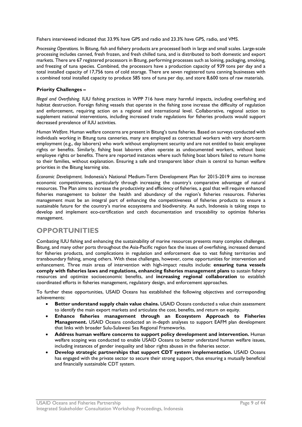Fishers interviewed indicated that 33.9% have GPS and radio and 23.3% have GPS, radio, and VMS.

*Processing Operations.* In Bitung, fish and fishery products are processed both in large and small scales. Large-scale processing includes canned, fresh frozen, and fresh chilled tuna, and is distributed to both domestic and export markets. There are 67 registered processors in Bitung, performing processes such as loining, packaging, smoking, and freezing of tuna species. Combined, the processors have a production capacity of 939 tons per day and a total installed capacity of 17,756 tons of cold storage. There are seven registered tuna canning businesses with a combined total installed capacity to produce 585 tons of tuna per day, and store 8,600 tons of raw materials.

#### **Priority Challenges –**

*Illegal and Overfishing.* IUU fishing practices in WPP 716 have many harmful impacts, including overfishing and habitat destruction. Foreign fishing vessels that operate in the fishing zone increase the difficulty of regulation and enforcement, requiring action on a regional and international level. Collaborative, regional action to supplement national interventions, including increased trade regulations for fisheries products would support decreased prevalence of IUU activities.

*Human Welfare*. Human welfare concerns are present in Bitung's tuna fisheries. Based on surveys conducted with individuals working in Bitung tuna canneries, many are employed as contractual workers with very short-term employment (e.g., day laborers) who work without employment security and are not entitled to basic employee rights or benefits. Similarly, fishing boat laborers often operate as undocumented workers, without basic employee rights or benefits. There are reported instances where such fishing boat labors failed to return home to their families, without explanation. Ensuring a safe and transparent labor chain is central to human welfare priorities in the Bitung learning site.

*Economic Development*. Indonesia's National Medium-Term Development Plan for 2015-2019 aims to increase economic competitiveness, particularly through increasing the country's comparative advantage of natural resources. The Plan aims to increase the productivity and efficiency of fisheries, a goal that will require enhanced fisheries management to bolster the health and abundancy of the region's fisheries resources. Fisheries management must be an integral part of enhancing the competitiveness of fisheries products to ensure a sustainable future for the country's marine ecosystems and biodiversity. As such, Indonesia is taking steps to develop and implement eco-certification and catch documentation and traceability to optimize fisheries management.

### **OPPORTUNITIES**

Combating IUU fishing and enhancing the sustainability of marine resources presents many complex challenges. Bitung, and many other ports throughout the Asia-Pacific region face the issues of overfishing, increased demand for fisheries products, and complications in regulation and enforcement due to vast fishing territories and transboundary fishing, among others. With these challenges, however, come opportunities for intervention and enhancement. Three main areas of intervention with high-impact results include: **ensuring tuna vessels comply with fisheries laws and regulations, enhancing fisheries management plans** to sustain fishery resources and optimize socioeconomic benefits, and **increasing regional collaboration** to establish coordinated efforts in fisheries management, regulatory design, and enforcement approaches.

To further these opportunities, USAID Oceans has established the following objectives and corresponding achievements:

- **Better understand supply chain value chains.** USAID Oceans conducted a value chain assessment to identify the main export markets and articulate the cost, benefits, and return on equity.
- **Enhance fisheries management through an Ecosystem Approach to Fisheries Management.** USAID Oceans conducted an in-depth analyses to support EAFM plan development that links with broader Sulu-Sulawesi Sea Regional Frameworks.
- **Address human welfare concerns to support policy development and intervention.** Human welfare scoping was conducted to enable USAID Oceans to better understand human welfare issues, including instances of gender inequality and labor rights abuses in the fisheries sector.
- **Develop strategic partnerships that support CDT system implementation.** USAID Oceans has engaged with the private sector to secure their strong support, thus ensuring a mutually beneficial and financially sustainable CDT system.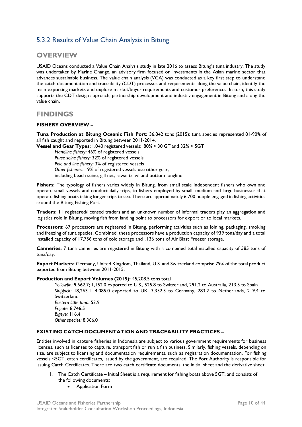# 5.3.2 Results of Value Chain Analysis in Bitung

### **OVERVIEW**

USAID Oceans conducted a Value Chain Analysis study in late 2016 to assess Bitung's tuna industry. The study was undertaken by Marine Change, an advisory firm focused on investments in the Asian marine sector that advances sustainable business. The value chain analysis (VCA) was conducted as a key first step to understand the catch documentation and traceability (CDT) processes and requirements along the value chain, identify the main exporting markets and explore market/buyer requirements and customer preferences. In turn, this study supports the CDT design approach, partnership development and industry engagement in Bitung and along the value chain.

### **FINDINGS**

#### **FISHERY OVERVIEW –**

**Tuna Production at Bitung Oceanic Fish Port:** 36,842 tons (2015); tuna species represented 81-90% of all fish caught and reported in Bitung between 2011-2014.

**Vessel and Gear Types:** 1,040 registered vessels: 80% < 30 GT and 32% < 5GT

*Handline fishery:* 46% of registered vessels *Purse seine fishery:* 32% of registered vessels *Pole and line fishery:* 3% of registered vessels *Other fisheries:* 19% of registered vessels use other gear, including beach seine, gill net, rawai trawl and bottom longline

**Fishers:** The typology of fishers varies widely in Bitung, from small scale independent fishers who own and operate small vessels and conduct daily trips, to fishers employed by small, medium and large businesses that operate fishing boats taking longer trips to sea. There are approximately 6,700 people engaged in fishing activities around the Bitung Fishing Port.

**Traders:** 11 registered/licensed traders and an unknown number of informal traders play an aggregation and logistics role in Bitung, moving fish from landing point to processors for export or to local markets.

**Processors:** 67 processors are registered in Bitung, performing activities such as loining, packaging, smoking and freezing of tuna species. Combined, these processors have a production capacity of 939 tons/day and a total installed capacity of 17,756 tons of cold storage and1,136 tons of Air Blast Freezer storage.

**Canneries:** 7 tuna canneries are registered in Bitung with a combined total installed capacity of 585 tons of tuna/day.

**Export Markets:** Germany, United Kingdom, Thailand, U.S. and Switzerland comprise 79% of the total product exported from Bitung between 2011-2015.

#### **Production and Export Volumes (2015):** 45,208.5 tons total

*Yellowfin:* 9,662.7; 1,152.0 exported to U.S., 525.8 to Switzerland, 291.2 to Australia, 213.5 to Spain *Skipjack:* 18,263.1; 4,085.0 exported to UK, 3,352.3 to Germany, 283.2 to Netherlands, 219.4 to Switzerland *Eastern little tuna:* 53.9 *Frigate:* 8,746.5 *Bigeye:* 116.4 *Other species:* 8,366.0

#### **EXISTING CATCH DOCUMENTATION AND TRACEABILITY PRACTICES –**

Entities involved in capture fisheries in Indonesia are subject to various government requirements for business licenses, such as licenses to capture, transport fish or run a fish business. Similarly, fishing vessels, depending on size, are subject to licensing and documentation requirements, such as registration documentation. For fishing vessels <5GT, catch certificates, issued by the government, are required. The Port Authority is responsible for issuing Catch Certificates. There are two catch certificate documents: the initial sheet and the derivative sheet.

- The Catch Certificate Initial Sheet is a requirement for fishing boats above 5GT, and consists of the following documents:
	- Application Form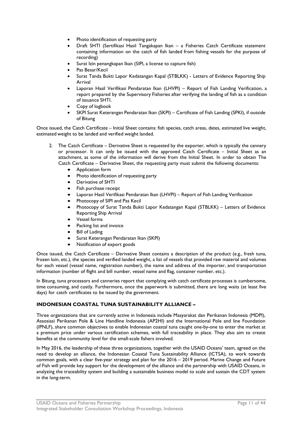- Photo identification of requesting party
- Draft SHTI (Sertifikasi Hasil Tangakapan Ikan a Fisheries Catch Certificate statement containing information on the catch of fish landed from fishing vessels for the purpose of recording)
- Surat Izin penangkapan Ikan (SIPI, a license to capture fish)
- Pas Besar/Kecil
- Surat Tanda Bukti Lapor Kedatangan Kapal (STBLKK) Letters of Evidence Reporting Ship Arrival
- Laporan Hasil Verifikasi Pendaratan Ikan (LHVPI) Report of Fish Landing Verification, a report prepared by the Supervisory Fisheries after verifying the landing of fish as a condition of issuance SHTI.
- Copy of logbook
- SKPI Surat Keterangan Pendaratan Ikan (SKPI) Certificate of Fish Landing (SPKI), if outside of Bitung

Once issued, the Catch Certificate – Initial Sheet contains: fish species, catch areas, dates, estimated live weight, estimated weight to be landed and verified weight landed.

- 2. The Catch Certificate Derivative Sheet is requested by the exporter, which is typically the cannery or processor. It can only be issued with the approved Catch Certificate – Initial Sheet as an attachment, as some of the information will derive from the Initial Sheet. In order to obtain The Catch Certificate – Derivative Sheet, the requesting party must submit the following documents:
	- Application form
	- Photo identification of requesting party
	- Derivative of SHTI
	- Fish purchase receipt
	- Laporan Hasil Verifikasi Pendaratan Ikan (LHVPI) Report of Fish Landing Verification
	- Photocopy of SIPI and Pas Kecil
	- Photocopy of Surat Tanda Bukti Lapor Kedatangan Kapal (STBLKK) Letters of Evidence Reporting Ship Arrival
	- Vessel forms
	- Packing list and invoice
	- Bill of Lading
	- Surat Keterangan Pendaratan Ikan (SKPI)
	- Notification of export goods

Once issued, the Catch Certificate – Derivative Sheet contains a description of the product (e.g., fresh tuna, frozen loin, etc.), the species and verified landed weight, a list of vessels that provided raw material and volumes for each vessel (vessel name, registration number), the name and address of the importer, and transportation information (number of flight and bill number, vessel name and flag, container number, etc.).

In Bitung, tuna processors and canneries report that complying with catch certificate processes is cumbersome, time consuming, and costly. Furthermore, once the paperwork is submitted, there are long waits (at least five days) for catch certificates to be issued by the government.

#### **INDONESIAN COASTAL TUNA SUSTAINABILITY ALLIANCE –**

Three organizations that are currently active in Indonesia include Masyarakat dan Perikanan Indonesia (MDPI), Assosiasi Perikanan Pole & Line Handline Indonesia (AP2HI) and the International Pole and line Foundation (IPNLF), share common objectives to enable Indonesian coastal tuna caught one-by-one to enter the market at a premium price under various certification schemes, with full traceability in place. They also aim to create benefits at the community level for the small-scale fishers involved.

In May 2016, the leadership of these three organizations, together with the USAID Oceans' team, agreed on the need to develop an alliance, the Indonesian Coastal Tuna Sustainability Alliance (ICTSA), to work towards common goals, with a clear five-year strategy and plan for the 2016 – 2019 period. Marine Change and Future of Fish will provide key support for the development of the alliance and the partnership with USAID Oceans, in analyzing the traceability system and building a sustainable business model to scale and sustain the CDT system in the long-term.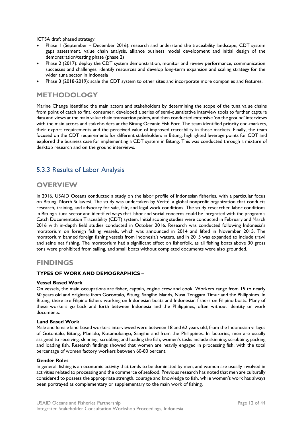ICTSA draft phased strategy:

- Phase 1 (September December 2016): research and understand the traceability landscape, CDT system gaps assessment, value chain analysis, alliance business model development and initial design of the demonstration/testing phase (phase 2)
- Phase 2 (2017): deploy the CDT system demonstration, monitor and review performance, communication successes and challenges, identify resources and develop long-term expansion and scaling strategy for the wider tuna sector in Indonesia
- Phase 3 (2018-2019): scale the CDT system to other sites and incorporate more companies and features.

# **METHODOLOGY**

Marine Change identified the main actors and stakeholders by determining the scope of the tuna value chains from point of catch to final consumer, developed a series of semi-quantitative interview tools to further capture data and views at the main value chain transaction points, and then conducted extensive 'on the ground' interviews with the main actors and stakeholders at the Bitung Oceanic Fish Port. The team identified priority end-markets, their export requirements and the perceived value of improved traceability in those markets. Finally, the team focused on the CDT requirements for different stakeholders in Bitung, highlighted leverage points for CDT and explored the business case for implementing a CDT system in Bitung. This was conducted through a mixture of desktop research and on the ground interviews.

# 5.3.3 Results of Labor Analysis

### **OVERVIEW**

In 2016, USAID Oceans conducted a study on the labor profile of Indonesian fisheries, with a particular focus on Bitung, North Sulawesi. The study was undertaken by Verité, a global nonprofit organization that conducts research, training, and advocacy for safe, fair, and legal work conditions. The study researched labor conditions in Bitung's tuna sector and identified ways that labor and social concerns could be integrated with the program's Catch Documentation Traceability (CDT) system. Initial scoping studies were conducted in February and March 2016 with in-depth field studies conducted in October 2016. Research was conducted following Indonesia's moratorium on foreign fishing vessels, which was announced in 2014 and lifted in November 2015. The moratorium banned foreign fishing vessels from Indonesia's waters, and in 2015 was expanded to include trawl and seine net fishing. The moratorium had a significant effect on fisherfolk, as all fishing boats above 30 gross tons were prohibited from sailing, and small boats without completed documents were also grounded.

### **FINDINGS**

#### **TYPES OF WORK AND DEMOGRAPHICS –**

#### **Vessel Based Work**

On vessels, the main occupations are fisher, captain, engine crew and cook. Workers range from 15 to nearly 60 years old and originate from Gorontalo, Bitung, Sangihe Islands, Nusa Tenggara Timur and the Philippines. In Bitung, there are Filipino fishers working on Indonesian boats and Indonesian fishers on Filipino boats. Many of these workers go back and forth between Indonesia and the Philippines, often without identity or work documents.

#### **Land Based Work**

Male and female land-based workers interviewed were between 18 and 62 years old, from the Indonesian villages of Gotontalo, Bitung, Manado, Kotamobango, Sangihe and from the Philippines. In factories, men are usually assigned to receiving, skinning, scrubbing and loading the fish; women's tasks include skinning, scrubbing, packing and loading fish. Research findings showed that women are heavily engaged in processing fish, with the total percentage of women factory workers between 60-80 percent.

#### **Gender Roles**

In general, fishing is an economic activity that tends to be dominated by men, and women are usually involved in activities related to processing and the commerce of seafood. Previous research has noted that men are culturally considered to possess the appropriate strength, courage and knowledge to fish, while women's work has always been portrayed as complementary or supplementary to the main work of fishing.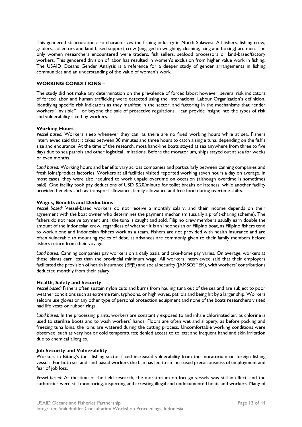This gendered structuration also characterizes the fishing industry in North Sulawesi. All fishers, fishing crew, graders, collectors and land-based support crew (engaged in weighing, cleaning, icing and boxing) are men. The only women researchers encountered were traders, fish sellers, seafood processors or land-based/factory workers. This gendered division of labor has resulted in women's exclusion from higher value work in fishing. The USAID Oceans Gender Analysis is a reference for a deeper study of gender arrangements in fishing communities and an understanding of the value of women's work.

#### **WORKING CONDITIONS –**

The study did not make any determination on the prevalence of forced labor; however, several risk indicators of forced labor and human trafficking were detected using the International Labour Organization's definition. Identifying specific risk indicators as they manifest in the sector, and factoring in the mechanisms that render workers "invisible" – or beyond the pale of protective regulations – can provide insight into the types of risk and vulnerability faced by workers.

#### **Working Hours**

*Vessel based:* Workers sleep whenever they can, as there are no fixed working hours while at sea. Fishers interviewed said that it takes between 30 minutes and three hours to catch a single tuna, depending on the fish's size and endurance. At the time of the research, most hand-line boats stayed at sea anywhere from three to five days due to sea patrols and other logistical limitations. Before the moratorium, ships stayed out at sea for weeks or even months.

*Land based:* Working hours and benefits vary across companies and particularly between canning companies and fresh loins/product factories. Workers at all facilities visited reported working seven hours a day on average. In most cases, they were also required to work unpaid overtime on occasion (although overtime is sometimes paid). One facility took pay deductions of USD \$.20/minute for toilet breaks or lateness, while another facility provided benefits such as transport allowance, family allowance and free food during overtime shifts.

#### **Wages, Benefits and Deductions**

*Vessel based:* Vessel-based workers do not receive a monthly salary, and their income depends on their agreement with the boat owner who determines the payment mechanism (usually a profit-sharing scheme). The fishers do not receive payment until the tuna is caught and sold. Filipino crew members usually earn double the amount of the Indonesian crew, regardless of whether it is an Indonesian or Filipino boat, as Filipino fishers tend to work alone and Indonesian fishers work as a team. Fishers are not provided with health insurance and are often vulnerable to mounting cycles of debt, as advances are commonly given to their family members before fishers return from their voyage.

*Land based:* Canning companies pay workers on a daily basis, and take-home pay varies. On average, workers at these plants earn less than the provincial minimum wage. All workers interviewed said that their employers facilitated the provision of health insurance (BPJS) and social security (JAMSOSTEK), with workers' contributions deducted monthly from their salary.

#### **Health, Safety and Security**

*Vessel based:* Fishers often sustain nylon cuts and burns from hauling tuna out of the sea and are subject to poor weather conditions such as extreme rain, typhoons, or high waves, patrols and being hit by a larger ship. Workers seldom use gloves or any other type of personal protection equipment and none of the boats researchers visited had life vests or rubber rings.

*Land based:* In the processing plants, workers are constantly exposed to and inhale chlorinated air, as chlorine is used to sterilize boots and to wash workers' hands. Floors are often wet and slippery, as before packing and freezing tuna loins, the loins are watered during the cutting process. Uncomfortable working conditions were observed, such as very hot or cold temperatures; denied access to toilets; and frequent hand and skin irritation due to chemical allergies.

#### **Job Security and Vulnerability**

Workers in Bitung's tuna fishing sector faced increased vulnerability from the moratorium on foreign fishing vessels. For both sea and land-based workers the ban has led to an increased precariousness of employment and fear of job loss.

*Vessel based:* At the time of the field research, the moratorium on foreign vessels was still in effect, and the authorities were still monitoring, inspecting and arresting illegal and undocumented boats and workers. Many of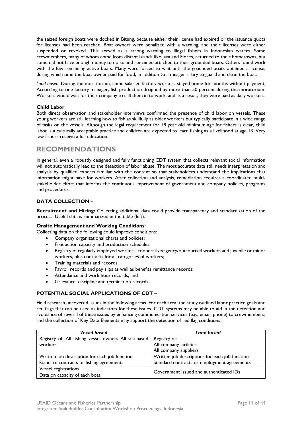the seized foreign boats were docked in Bitung, because either their license had expired or the issuance quota for licenses had been reached. Boat owners were penalized with a warning, and their licenses were either suspended or revoked. This served as a strong warning to illegal fishers in Indonesian waters. Some crewmembers, many of whom come from distant islands like Java and Flores, returned to their hometowns, but some did not have enough money to do so and remained attached to their grounded boats. Others found work with the few remaining active boats. Many were forced to wait until the grounded boats obtained a license, during which time the boat owner paid for food, in addition to a meager salary to guard and clean the boat.

*Land based:* During the moratorium, some salaried factory workers stayed home for months without payment. According to one factory manager, fish production dropped by more than 50 percent during the moratorium. Workers would wait for their company to call them in to work, and as a result, they were paid as daily workers.

#### **Child Labor**

Both direct observation and stakeholder interviews confirmed the presence of child labor on vessels. These young workers are still learning how to fish as skillfully as older workers but typically participate in a wide range of tasks on the vessels. Although the legal requirement for 18 year old minimum age for fishers is clear, child labor is a culturally acceptable practice and children are expected to learn fishing as a livelihood at age 13. Very few fishers receive a full education.

### **RECOMMENDATIONS**

In general, even a robustly designed and fully functioning CDT system that collects relevant social information will not automatically lead to the detection of labor abuse. The most accurate data still needs interpretation and analysis by qualified experts familiar with the context so that stakeholders understand the implications that information might have for workers. After collection and analysis, remediation requires a coordinated multistakeholder effort that informs the continuous improvement of government and company policies, programs and procedures.

#### **DATA COLLECTION –**

**Recruitment and Hiring:** Collecting additional data could provide transparency and standardization of the process. Useful data is summarized in the table (left).

#### **Onsite Management and Working Conditions:**

Collecting data on the following could improve conditions:

- Company organizational charts and policies;
- Production capacity and production schedules;
- Registry of regularly employed workers, cooperative/agency/outsourced workers and juvenile or minor workers, plus contracts for all categories of workers;
- Training materials and records;
- Payroll records and pay slips as well as benefits remittance records;
- Attendance and work hour records; and
- Grievance, discipline and termination records.

#### **POTENTIAL SOCIAL APPLICATIONS OF CDT –**

Field research uncovered issues in the following areas. For each area, the study outlined labor practice goals and red flags that can be used as indicators for these issues. CDT systems may be able to aid in the detection and avoidance of several of these issues by enhancing communication services (e.g., email, phone) to crewmembers, and the collection of Key Data Elements may support the detection of red flag conditions.

| <b>Vessel based</b>                                  | <b>Land based</b>                              |  |
|------------------------------------------------------|------------------------------------------------|--|
| Registry of: All fishing vessel owners All sea-based | Registry of:                                   |  |
| workers                                              | All company facilities                         |  |
|                                                      | All company suppliers                          |  |
| Written job description for each job function        | Written job descriptions for each job function |  |
| Standard contracts or fishing agreements             | Standard contracts or employment agreements    |  |
| Vessel registrations                                 | Government issued and authenticated IDs        |  |
| Data on capacity of each boat                        |                                                |  |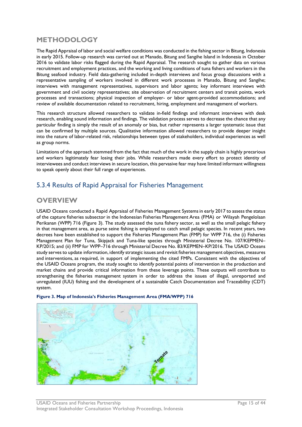# **METHODOLOGY**

The Rapid Appraisal of labor and social welfare conditions was conducted in the fishing sector in Bitung, Indonesia in early 2015. Follow-up research was carried out at Manado, Bitung and Sangihe Island in Indonesia in October 2016 to validate labor risks flagged during the Rapid Appraisal. The research sought to gather data on various recruitment and employment practices, and the working and living conditions of tuna fishers and workers in the Bitung seafood industry. Field data-gathering included in-depth interviews and focus group discussions with a representative sampling of workers involved in different work processes in Manado, Bitung and Sangihe; interviews with management representatives, supervisors and labor agents; key informant interviews with government and civil society representatives; site observation of recruitment centers and transit points, work processes and transactions; physical inspection of employer- or labor agent-provided accommodations; and review of available documentation related to recruitment, hiring, employment and management of workers.

This research structure allowed researchers to validate in-field findings and informant interviews with desk research, enabling sound information and findings. The validation process serves to decrease the chance that any particular finding is simply the result of an anomaly or bias, but rather represents a larger systematic issue that can be confirmed by multiple sources. Qualitative information allowed researchers to provide deeper insight into the nature of labor-related risk, relationships between types of stakeholders, individual experiences as well as group norms.

Limitations of the approach stemmed from the fact that much of the work in the supply chain is highly precarious and workers legitimately fear losing their jobs. While researchers made every effort to protect identity of interviewees and conduct interviews in secure location, this pervasive fear may have limited informant willingness to speak openly about their full range of experiences.

# 5.3.4 Results of Rapid Appraisal for Fisheries Management

# **OVERVIEW**

USAID Oceans conducted a Rapid Appraisal of Fisheries Management Systems in early 2017 to assess the status of the capture fisheries subsector in the Indonesian Fisheries Management Area (FMA) or Wilayah Pengelolaan Perikanan (WPP) 716 (Figure 3). The study assessed the tuna fishery sector, as well as the small pelagic fishery in that management area, as purse seine fishing is employed to catch small pelagic species. In recent years, two decrees have been established to support the Fisheries Management Plan (FMP) for WPP 716, the (i) Fisheries Management Plan for Tuna, Skipjack and Tuna-like species through Ministerial Decree No. 107/KEPMEN– KP/2015; and (ii) FMP for WPP–716 through Ministerial Decree No. 83/KEPMEN–KP/2016. The USAID Oceans study serves to update information, identify strategic issues and revisit fisheries management objectives, measures and interventions, as required, in support of implementing the cited FMPs. Consistent with the objectives of the USAID Oceans program, the study sought to identify potential points of intervention in the production and market chains and provide critical information from these leverage points. These outputs will contribute to strengthening the fisheries management system in order to address the issues of illegal, unreported and unregulated (IUU) fishing and the development of a sustainable Catch Documentation and Traceability (CDT) system.



#### <span id="page-16-0"></span>**Figure 3. Map of Indonesia's Fisheries Management Area (FMA/WPP) 716**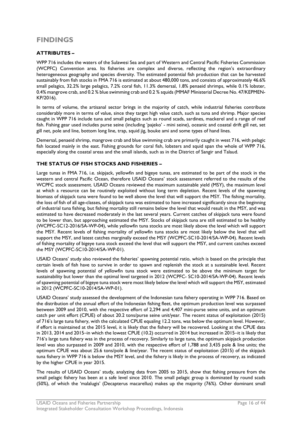# **FINDINGS**

#### **ATTRIBUTES –**

WPP 716 includes the waters of the Sulawesi Sea and part of Western and Central Pacific Fisheries Commission (WCPFC) Convention area. Its fisheries are complex and diverse, reflecting the region's extraordinary heterogeneous geography and species diversity. The estimated potential fish production that can be harvested sustainably from fish stocks in FMA 716 is estimated at about 480,000 tons, and consists of approximately 46.6% small pelagics, 32.2% large pelagics, 7.2% coral fish, 11.3% demersal, 1.8% penaeid shrimps, while 0.1% lobster, 0.4% mangrove crab, and 0.2 % blue swimming crab and 0.2 % squids (MMAF Ministerial Decree No. 47/KEPMEN-KP/2016).

In terms of volume, the artisanal sector brings in the majority of catch, while industrial fisheries contribute considerably more in terms of value, since they target high value catch, such as tuna and shrimp. Major species caught in WPP 716 include tuna and small pelagics such as round scads, sardines, mackerel and a range of reef fish. Fishing gear used includes purse seine (including 'pajeko' - mini seine), oceanic and coastal drift gill net, set gill net, pole and line, bottom long line, trap, squid jig, bouke ami and some types of hand lines.

Demersal, penaeid shrimp, mangrove crab and blue swimming crab are primarily caught in west 716, with pelagic fish located mainly in the east. Fishing grounds for coral fish, lobsters and squid span the whole of WPP 716, especially along the coastal areas and the small islands, such as in the District of Sangir and Talaud.

#### **THE STATUS OF FISH STOCKS AND FISHERIES –**

Large tunas in FMA 716, i.e. skipjack, yellowfin and bigeye tunas, are estimated to be part of the stock in the western and central Pacific Ocean, therefore USAID Oceans' stock assessment referred to the results of the WCPFC stock assessment. USAID Oceans reviewed the maximum sustainable yield (MSY), the maximum level at which a resource can be routinely exploited without long term depletion. Recent levels of the spawning biomass of skipjack tuna were found to be well above the level that will support the MSY. The fishing mortality, the loss of fish of all age-classes, of skipjack tuna was estimated to have increased significantly since the beginning of industrial tuna fishing, but fishing mortality still remains below the level that would result in the MSY, and was estimated to have decreased moderately in the last several years. Current catches of skipjack tuna were found to be lower than, but approaching estimated the MSY. Stocks of skipjack tuna are still estimated to be healthy (WCPFC-SC12-2016/SA-WP-04), while yellowfin tuna stocks are most likely above the level which will support the MSY. Recent levels of fishing mortality of yellowfin tuna stocks are most likely below the level that will support the MSY, and latest catches marginally exceed the MSY (WCPFC-SC10-2014/SA-WP-04). Recent levels of fishing mortality of bigeye tuna stock exceed the level that will support the MSY, and current catches exceed the MSY (WCPFC-SC10-2014/SA-WP-01).

USAID Oceans' study also reviewed the fisheries' spawning potential ratio, which is based on the principle that certain levels of fish have to survive in order to spawn and replenish the stock at a sustainable level. Recent levels of spawning potential of yellowfin tuna stock were estimated to be above the minimum target for sustainability but lower than the optimal level targeted in 2012 (WCPFC- SC10-2014/SA-WP-04). Recent levels of spawning potential of bigeye tuna stock were most likely below the level which will support the MSY, estimated in 2012 (WCPFC-SC10-2014/SA-WP-01).

USAID Oceans' study assessed the development of the Indonesian tuna fishery operating in WPP 716. Based on the distribution of the annual effort of the Indonesian fishing fleet, the optimum production level was surpassed between 2009 and 2010, with the respective effort of 2,294 and 4,407 mini-purse seine units, and an optimum catch per unit effort (CPUE) of about 20.2 tons/purse seine unit/year. The recent status of exploitation (2015) of 716's large tuna fishery, with the calculated CPUE equaling 12.2 tons, was below the optimum level. However, if effort is maintained at the 2015 level, it is likely that the fishery will be recovered. Looking at the CPUE data in 2013, 2014 and 2015–in which the lowest CPUE (10.2) occurred in 2014 but increased in 2015–it is likely that 716's large tuna fishery was in the process of recovery. Similarly to large tuna, the optimum skipjack production level was also surpassed in 2009 and 2010, with the respective effort of 1,788 and 3,435 pole & line units; the optimum CPUE was about 25.6 tons/pole & line/year. The recent status of exploitation (2015) of the skipjack tuna fishery in WPP 716 is below the MSY level, and the fishery is likely in the process of recovery, as indicated by the higher CPUE in year 2015.

The results of USAID Oceans' study, analyzing data from 2005 to 2015, show that fishing pressure from the small pelagic fishery has been at a safe level since 2010. The small pelagic group is dominated by round scads (50%), of which the 'malalugis' (Decapterus macarellus) makes up the majority (76%). Other dominant small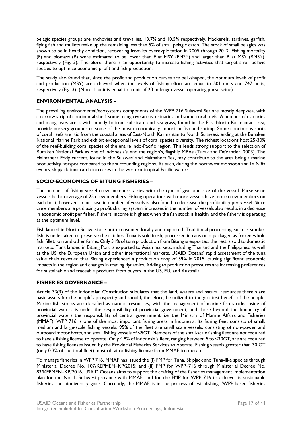pelagic species groups are anchovies and trevallies, 13.7% and 10.5% respectively. Mackerels, sardines, garfish, flying fish and mullets make up the remaining less than 5% of small pelagic catch. The stock of small pelagics was shown to be in healthy condition, recovering from its overexploitation in 2005 through 2012. Fishing mortality (F) and biomass (B) were estimated to be lower than F at MSY (FMSY) and larger than B at MSY (BMSY), respectively (Fig. 2). Therefore, there is an opportunity to increase fishing activities that target small pelagic species to optimize economic profit and fish production.

The study also found that, since the profit and production curves are bell-shaped, the optimum levels of profit and production (MSY) are achieved when the levels of fishing effort are equal to 501 units and 747 units, respectively (Fig. 3). (Note: 1 unit is equal to a unit of 20 m length vessel operating purse seine).

#### **ENVIRONMENTAL ANALYSIS –**

The prevailing environmental/ecosystems components of the WPP 716 Sulawesi Sea are mostly deep-sea, with a narrow strip of continental shelf, some mangrove areas, estuaries and some coral reefs. A number of estuaries and mangroves areas with muddy bottom substrate and sea-grass, found in the East-North Kalimantan area, provide nursery grounds to some of the most economically important fish and shrimp. Some continuous spots of coral reefs are laid from the coastal areas of East-North Kalimantan to North Sulawesi, ending at the Bunaken National Marine Park and exhibit exceptional levels of coral species diversity. The richest locations host 25-30% of the reef-building coral species of the entire Indo-Pacific region. This lends strong support to the selection of Bunaken National Park as one of Indonesia's, and the region's, flagship MPAs (Turak and DeVantier, 2003). The Halmahera Eddy current, found in the Sulawesi and Halmahera Sea, may contribute to the area being a marine productivity hotspot compared to the surrounding regions. As such, during the northwest monsoon and La Niña events, skipjack tuna catch increases in the western tropical Pacific waters.

#### **SOCIO-ECONOMICS OF BITUNG FISHERIES –**

The number of fishing vessel crew members varies with the type of gear and size of the vessel. Purse-seine vessels had an average of 25 crew members. Fishing operations with more vessels have more crew members on each boat, however an increase in number of vessels is also found to decrease the profitability per vessel. Since crew members are paid using a profit sharing system, increases in the number of vessels also results in a decrease in economic profit per fisher. Fishers' income is highest when the fish stock is healthy and the fishery is operating at the optimum level.

Fish landed in North Sulawesi are both consumed locally and exported. Traditional processing, such as smokefish, is undertaken to preserve the catches. Tuna is sold fresh, processed in cans or is packaged as frozen whole fish, fillet, loin and other forms. Only 31% of tuna production from Bitung is exported, the rest is sold to domestic markets. Tuna landed in Bitung Port is exported to Asian markets, including Thailand and the Philippines, as well as the US, the European Union and other international markets. USAID Oceans' rapid assessment of the tuna value chain revealed that Bitung experienced a production drop of 59% in 2015, causing significant economic impacts in the region and changes in trading dynamics. Adding to production pressures are increasing preferences for sustainable and traceable products from buyers in the US, EU, and Australia.

#### **FISHERIES GOVERNANCE –**

Article 33(3) of the Indonesian Constitution stipulates that the land, waters and natural resources therein are basic assets for the people's prosperity and should, therefore, be utilized to the greatest benefit of the people. Marine fish stocks are classified as natural resources, with the management of marine fish stocks inside of provincial waters is under the responsibility of provincial government, and those beyond the boundary of provincial waters the responsibility of central government, i.e. the Ministry of Marine Affairs and Fisheries (MMAF). WPP 716 is one of the most important fishing areas in Indonesia. Its fishing fleet consists of small, medium and large-scale fishing vessels. 95% of the fleet are small scale vessels, consisting of non-power and outboard motor boats, and small fishing vessels of <5GT. Members of the small-scale fishing fleet are not required to have a fishing license to operate. Only 4.8% of Indonesia's fleet, ranging between 5 to <30GT, are are required to have fishing licenses issued by the Provincial Fisheries Services to operate. Fishing vessels greater than 30 GT (only 0.3% of the total fleet) must obtain a fishing license from MMAF to operate.

To manage fisheries in WPP 716, MMAF has issued the (i) FMP for Tuna, Skipjack and Tuna-like species through Ministerial Decree No. 107/KEPMEN–KP/2015; and (ii) FMP for WPP–716 through Ministerial Decree No. 83/KEPMEN–KP/2016. USAID Oceans aims to support the crafting of the fisheries management implementation plan for the North Sulawesi province with MMAF, and for the FMP for WPP 716 to achieve its sustainable fisheries and biodiversity goals. Currently, the MMAF is in the process of establishing "WPP-based fisheries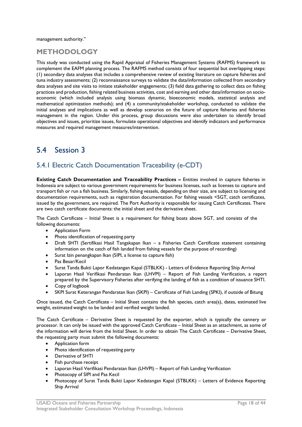management authority."

### **METHODOLOGY**

This study was conducted using the Rapid Appraisal of Fisheries Management Systems (RAFMS) framework to complement the EAFM planning process. The RAFMS method consists of four sequential but overlapping steps: (1) secondary data analyses that includes a comprehensive review of existing literature on capture fisheries and tuna industry assessments; (2) reconnaissance surveys to validate the data/information collected from secondary data analyses and site visits to initiate stakeholder engagements; (3) field data gathering to collect data on fishing practices and production, fishing related business activities, cost and earning and other data/information on socioeconomic (which included analysis using biomass dynamic, bioeconomic models, statistical analysis and mathematical optimization methods); and (4) a community/stakeholder workshop, conducted to validate the initial analyses and implications as well as develop scenarios on the future of capture fisheries and fisheries management in the region. Under this process, group discussions were also undertaken to identify broad objectives and issues, prioritize issues, formulate operational objectives and identify indicators and performance measures and required management measures/intervention.

# <span id="page-19-0"></span>5.4 Session 3

# 5.4.1 Electric Catch Documentation Traceability (e-CDT)

**Existing Catch Documentation and Traceability Practices –** Entities involved in capture fisheries in Indonesia are subject to various government requirements for business licenses, such as licenses to capture and transport fish or run a fish business. Similarly, fishing vessels, depending on their size, are subject to licensing and documentation requirements, such as registration documentation. For fishing vessels <5GT, catch certificates, issued by the government, are required. The Port Authority is responsible for issuing Catch Certificates. There are two catch certificate documents: the initial sheet and the derivative sheet.

The Catch Certificate – Initial Sheet is a requirement for fishing boats above 5GT, and consists of the following documents:

- Application Form
- Photo identification of requesting party
- Draft SHTI (Sertifikasi Hasil Tangakapan Ikan a Fisheries Catch Certificate statement containing information on the catch of fish landed from fishing vessels for the purpose of recording)
- Surat Izin penangkapan Ikan (SIPI, a license to capture fish)
- Pas Besar/Kecil
- Surat Tanda Bukti Lapor Kedatangan Kapal (STBLKK) Letters of Evidence Reporting Ship Arrival
- Laporan Hasil Verifikasi Pendaratan Ikan (LHVPI) Report of Fish Landing Verification, a report prepared by the Supervisory Fisheries after verifying the landing of fish as a condition of issuance SHTI.
- Copy of logbook
- SKPI Surat Keterangan Pendaratan Ikan (SKPI) Certificate of Fish Landing (SPKI), if outside of Bitung

Once issued, the Catch Certificate – Initial Sheet contains the fish species, catch area(s), dates, estimated live weight, estimated weight to be landed and verified weight landed.

The Catch Certificate – Derivative Sheet is requested by the exporter, which is typically the cannery or processor. It can only be issued with the approved Catch Certificate – Initial Sheet as an attachment, as some of the information will derive from the Initial Sheet. In order to obtain The Catch Certificate – Derivative Sheet, the requesting party must submit the following documents:

- Application form
- Photo identification of requesting party
- Derivative of SHTI
- Fish purchase receipt
- Laporan Hasil Verifikasi Pendaratan Ikan (LHVPI) Report of Fish Landing Verification
- Photocopy of SIPI and Pas Kecil
- Photocopy of Surat Tanda Bukti Lapor Kedatangan Kapal (STBLKK) Letters of Evidence Reporting Ship Arrival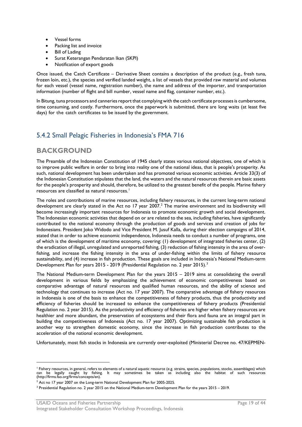- Vessel forms
- Packing list and invoice
- Bill of Lading
- Surat Keterangan Pendaratan Ikan (SKPI)
- Notification of export goods

Once issued, the Catch Certificate – Derivative Sheet contains a description of the product (e.g., fresh tuna, frozen loin, etc.), the species and verified landed weight, a list of vessels that provided raw material and volumes for each vessel (vessel name, registration number), the name and address of the importer, and transportation information (number of flight and bill number, vessel name and flag, container number, etc.).

In Bitung, tuna processors and canneries report that complying with the catch certificate processes is cumbersome, time consuming, and costly. Furthermore, once the paperwork is submitted, there are long waits (at least five days) for the catch certificates to be issued by the government.

# 5.4.2 Small Pelagic Fisheries in Indonesia's FMA 716

### **BACKGROUND**

The Preamble of the Indonesian Constitution of 1945 clearly states various national objectives, one of which is to improve public welfare in order to bring into reality one of the national ideas, that is people's prosperity. As such, national development has been undertaken and has promoted various economic activities. Article 33(3) of the Indonesian Constitution stipulates that the land, the waters and the natural resources therein are basic assets for the people's prosperity and should, therefore, be utilized to the greatest benefit of the people. Marine fishery resources are classified as natural resources.<sup>[1](#page-20-0)</sup>

The roles and contributions of marine resources, including fishery resources, in the current long-term national development are clearly stated in the Act no 17 year [2](#page-20-1)007.<sup>2</sup> The marine environment and its biodiversity will become increasingly important resources for Indonesia to promote economic growth and social development. The Indonesian economic activities that depend on or are related to the sea, including fisheries, have significantly contributed to the national economy through the production of goods and services and creation of jobs for Indonesians. President Joko Widodo and Vice President M. Jusuf Kalla, during their election campaigns of 2014, stated that in order to achieve economic independence, Indonesia needs to conduct a number of programs, one of which is the development of maritime economy, covering: (1) development of integrated fisheries center, (2) the eradication of illegal, unregulated and unreported fishing, (3) reduction of fishing intensity in the area of overfishing, and increase the fishing intensity in the area of under-fishing within the limits of fishery resource sustainability, and (4) increase in fish production. These goals are included in Indonesia's National Medium-term Development Plan for years 2015 - 2019 (Presidential Regulation no. 2 year 2015).<sup>[3](#page-20-2)</sup>

The National Medium-term Development Plan for the years 2015 – 2019 aims at consolidating the overall development in various fields by emphasizing the achievement of economic competitiveness based on comparative advantage of natural resources and qualified human resources, and the ability of science and technology that continues to increase (Act no. 17 year 2007). The comparative advantage of fishery resources in Indonesia is one of the basis to enhance the competitiveness of fishery products, thus the productivity and efficiency of fisheries should be increased to enhance the competitiveness of fishery products (Presidential Regulation no. 2 year 2015). As the productivity and efficiency of fisheries are higher when fishery resources are healthier and more abundant, the preservation of ecosystems and their flora and fauna are an integral part in building the competitiveness of Indonesia (Act no. 17 year 2007). Optimizing sustainable fish production is another way to strengthen domestic economy, since the increase in fish production contributes to the acceleration of the national economic development.

Unfortunately, most fish stocks in Indonesia are currently over-exploited (Ministerial Decree no. 47/KEPMEN-

<span id="page-20-0"></span><sup>—&</sup>lt;br><sup>1</sup> Fishery resources, in general, refers to elements of a natural aquatic resource (e.g. strains, species, populations, stocks, assemblages) which<br>can be legally caught by fishing. It may sometimes be taken as including

<span id="page-20-1"></span><sup>&</sup>lt;sup>2</sup> Act no 17 year 2007 on the Long-term National Development Plan for 2005-2025.

<span id="page-20-2"></span><sup>3</sup> Presidential Regulation no. 2 year 2015 on the National Medium-term Development Plan for the years 2015 – 2019.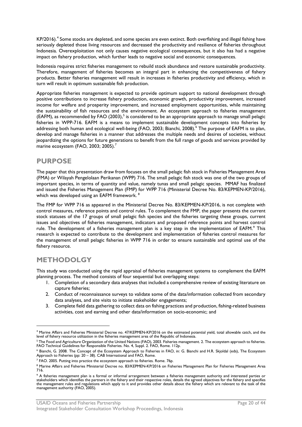KP/2016).<sup>[4](#page-21-0)</sup> Some stocks are depleted, and some species are even extinct. Both overfishing and illegal fishing have seriously depleted those living resources and decreased the productivity and resilience of fisheries throughout Indonesia. Overexploitation not only causes negative ecological consequences, but it also has had a negative impact on fishery production, which further leads to negative social and economic consequences.

Indonesia requires strict fisheries management to rebuild stock abundance and restore sustainable productivity. Therefore, management of fisheries becomes an integral part in enhancing the competitiveness of fishery products. Better fisheries management will result in increases in fisheries productivity and efficiency, which in turn will result in optimum sustainable fish production.

Appropriate fisheries management is expected to provide optimum support to national development through positive contributions to increase fishery production, economic growth, productivity improvement, increased income for welfare and prosperity improvement, and increased employment opportunities, while maintaining the sustainability of fish resources and the environment. An ecosystem approach to fisheries management (EAFM), as recommended by FAO (2003),<sup>[5](#page-21-1)</sup> is considered to be an appropriate approach to manage small pelagic fisheries in WPP-716. EAFM is a means to implement sustainable development concepts into fisheries by addressing both human and ecological well-being (FAO, 2003; Bianchi, 2008).<sup>[6](#page-21-2)</sup> The purpose of EAFM is to plan, develop and manage fisheries in a manner that addresses the multiple needs and desires of societies, without jeopardizing the options for future generations to benefit from the full range of goods and services provided by marine ecosystem (FAO, 2003; 2005).<sup>[7](#page-21-3)</sup>

# **PURPOSE**

The paper that this presentation draw from focuses on the small pelagic fish stock in Fisheries Management Area (FMA) or Wilayah Pengelolaan Perikanan (WPP) 716. The small pelagic fish stock was one of the two groups of important species, in terms of quantity and value, namely tunas and small pelagic species. MMAF has finalized and issued the Fisheries Management Plan (FMP) for WPP 716 (Ministerial Decree No. 83/KEPMEN-KP/2016), which was developed using an EAFM framework. <sup>[8](#page-21-4)</sup>

The FMP for WPP 716 as appeared in the Ministerial Decree No. 83/KEPMEN-KP/2016, is not complete with control measures, reference points and control rules. To complement the FMP, the paper presents the current stock statuses of the 17 groups of small pelagic fish species and the fisheries targeting these groups, current issues and objectives of fisheries management, indicators and proposed reference points and harvest control rule. The development of a fisheries management plan is a key step in the implementation of EAFM.<sup>[9](#page-21-5)</sup> This research is expected to contribute to the development and implementation of fisheries control measures for the management of small pelagic fisheries in WPP 716 in order to ensure sustainable and optimal use of the fishery resource.

# **METHODOLGY**

This study was conducted using the rapid appraisal of fisheries management systems to complement the EAFM planning process. The method consists of four sequential but overlapping steps:

- 1. Completion of a secondary data analyses that included a comprehensive review of existing literature on capture fisheries;
- 2. Conduct of reconnaissance surveys to validate some of the data/information collected from secondary data analyses, and site visits to initiate stakeholder engagements;
- 3. Complete field data gathering to collect data on fishing practices and production, fishing-related business activities, cost and earning and other data/information on socio-economic; and

<span id="page-21-0"></span> <sup>4</sup> Marine Affairs and Fisheries Ministerial Decree no. 47/KEPMEN-KP/2016 on the estimated potential yield, total allowable catch, and the level of fishery resource utilization in the fisheries management area of the Republic of Indonesia.

<span id="page-21-1"></span><sup>&</sup>lt;sup>5</sup> The Food and Agriculture Organization of the United Nations (FAO), 2003. Fisheries management. 2. The ecosystem approach to fisheries.<br>FAO Technical Guidelines for Responsible Fisheries. No. 4, Suppl. 2. FAO, Rome. 112

<span id="page-21-2"></span> $^6$  Bianchi, G. 2008. The Concept of the Ecosystem Approach to Fisheries in FAO, in: G. Bianchi and H.R. Skjoldal (eds), The Ecosystem Approach to Fisheries (pp: 20 – 38). CAB International and FAO, Rome.

<span id="page-21-3"></span> $^7$  FAO. 2005. Putting into practice the ecosystem approach to fisheries. Rome. 76p.

<span id="page-21-4"></span><sup>8</sup> Marine Affairs and Fisheries Ministerial Decree no. 83/KEPMEN-KP/2016 on Fisheries Management Plan for Fisheries Management Area 716.

<span id="page-21-5"></span><sup>&</sup>lt;sup>9</sup> A fisheries management plan is a formal or informal arrangement between a fisheries management authority and interested parties or stakeholders which identifies the partners in the fishery and their respective roles, details the agreed objectives for the fishery and specifies<br>the management rules and regulations which apply to it and provides other de management authority (FAO, 2005).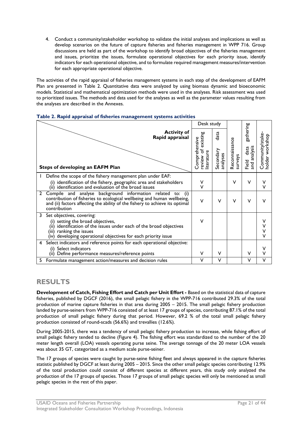4. Conduct a community/stakeholder workshop to validate the initial analyses and implications as well as develop scenarios on the future of capture fisheries and fisheries management in WPP 716. Group discussions are held as part of the workshop to identify broad objectives of the fisheries management and issues, prioritize the issues, formulate operational objectives for each priority issue, identify indicators for each operational objective, and to formulate required management measures/intervention for each appropriate operational objective.

The activities of the rapid appraisal of fisheries management systems in each step of the development of EAFM Plan are presented in Table 2. Quantitative data were analyzed by using biomass dynamic and bioeconomic models. Statistical and mathematical optimization methods were used in the analyses. Risk assessment was used to prioritized issues. The methods and data used for the analyses as well as the parameter values resulting from the analyses are described in the Annexes.

|   |                                                                                                                                                                                                                                               | Desk study                                                |                               |                           |                                            |                                    |
|---|-----------------------------------------------------------------------------------------------------------------------------------------------------------------------------------------------------------------------------------------------|-----------------------------------------------------------|-------------------------------|---------------------------|--------------------------------------------|------------------------------------|
|   | <b>Activity of</b><br>Rapid appraisal<br>Steps of developing an EAFM Plan                                                                                                                                                                     | existing<br>Comprehensive<br>৳<br>review of<br>literature | data<br>Secondary<br>analyses | Reconnaissance<br>surveys | gathering<br>and analysis<br>data<br>Field | Community/stake<br>holder workshop |
|   | Define the scope of the fishery management plan under EAF:<br>(i) identification of the fishery, geographic area and stakeholders<br>(ii) identification and evaluation of the broad issues                                                   | ۷<br>V                                                    |                               | $\vee$                    | v                                          |                                    |
| 2 | Compile and analyse background information related to:<br>(i)<br>contribution of fisheries to ecological wellbeing and human wellbeing,<br>and (ii) factors affecting the ability of the fishery to achieve its optimal<br>contribution       | $\vee$                                                    | $\vee$                        | v                         | V                                          |                                    |
| 3 | Set objectives, covering:<br>(i) setting the broad objectives,<br>identification of the issues under each of the broad objectives<br>(ii)<br>ranking the issues<br>(iii)<br>developing operational objectives for each priority issue<br>(iv) | $\vee$                                                    |                               |                           |                                            |                                    |
| 4 | Select indicators and reference points for each operational objective:<br>Select indicators<br>(i)<br>Define performance measures/reference points<br>(iii)                                                                                   | v                                                         | v                             |                           | $\vee$                                     |                                    |
| 5 | Formulate management action/measures and decision rules                                                                                                                                                                                       | ٧                                                         | v                             |                           | V                                          | ν                                  |

#### <span id="page-22-0"></span>**Table 2. Rapid appraisal of fisheries management systems activities**

### **RESULTS**

**Development of Catch, Fishing Effort and Catch per Unit Effort -** Based on the statistical data of capture fisheries, published by DGCF (2016), the small pelagic fishery in the WPP-716 contributed 29.3% of the total production of marine capture fisheries in that area during 2005 – 2015. The small pelagic fishery production landed by purse-seiners from WPP-716 consisted of at least 17 groups of species, contributing 87.1% of the total production of small pelagic fishery during that period. However, 69.2 % of the total small pelagic fishery production consisted of round-scads (56.6%) and trevallies (12.6%).

During 2005-2015, there was a tendency of small pelagic fishery production to increase, while fishing effort of small pelagic fishery tended to decline (Figure 4). The fishing effort was standardized to the number of the 20 meter length overall (LOA) vessels operating purse seine. The average tonnage of the 20 meter LOA vessels was about 35 GT, categorized as a medium scale purse-seiner.

The 17 groups of species were caught by purse-seine fishing fleet and always appeared in the capture fisheries statistic published by DGCF at least during 2005 – 2015. Since the other small pelagic species contributing 12.9% of the total production could consist of different species at different years, this study only analyzed the production of the 17 groups of species. Those 17 groups of small pelagic species will only be mentioned as small pelagic species in the rest of this paper.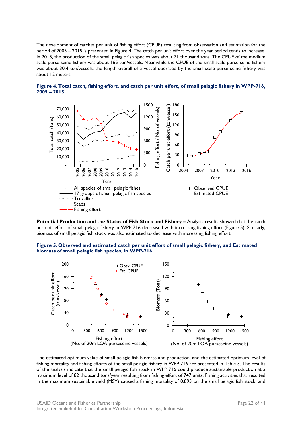The development of catches per unit of fishing effort (CPUE) resulting from observation and estimation for the period of 2005 – 2015 is presented in Figure 4. The catch per unit effort over the year period tends to increase. In 2015, the production of the small pelagic fish species was about 71 thousand tons. The CPUE of the medium scale purse seine fishery was about 165 ton/vessels. Meanwhile the CPUE of the small-scale purse seine fishery was about 30.4 ton/vessels; the length overall of a vessel operated by the small-scale purse seine fishery was about 12 meters.



<span id="page-23-0"></span>**Figure 4. Total catch, fishing effort, and catch per unit effort, of small pelagic fishery in WPP-716, 2005 – 2015**

**Potential Production and the Status of Fish Stock and Fishery –** Analysis results showed that the catch per unit effort of small pelagic fishery in WPP-716 decreased with increasing fishing effort (Figure 5). Similarly, biomass of small pelagic fish stock was also estimated to decrease with increasing fishing effort.

<span id="page-23-1"></span>



The estimated optimum value of small pelagic fish biomass and production, and the estimated optimum level of fishing mortality and fishing efforts of the small pelagic fishery in WPP 716 are presented in Table 3. The results of the analysis indicate that the small pelagic fish stock in WPP 716 could produce sustainable production at a maximum level of 82 thousand tons/year resulting from fishing effort of 747 units. Fishing activities that resulted in the maximum sustainable yield (MSY) caused a fishing mortality of 0.893 on the small pelagic fish stock, and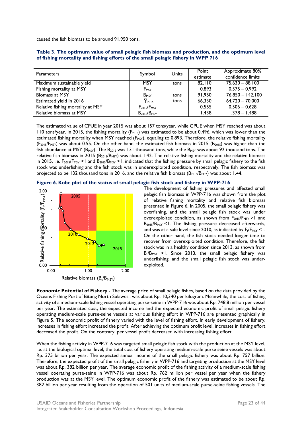caused the fish biomass to be around 91,950 tons.

| <b>Parameters</b>                 | Symbol                  | <b>Units</b> | Point<br>estimate | Approximate 80%<br>confidence limits |
|-----------------------------------|-------------------------|--------------|-------------------|--------------------------------------|
| Maximum sustainable yield         | <b>MSY</b>              | tons         | 82.110            | $75,630 - 88,100$                    |
| Fishing mortality at MSY          | F <sub>MSY</sub>        |              | 0.893             | $0.575 - 0.992$                      |
| <b>Biomass at MSY</b>             | <b>B</b> <sub>MSY</sub> | tons         | 91.950            | $76,850 - 142,100$                   |
| Estimated yield in 2016           | $\overline{Y}_{2016}$   | tons         | 66.330            | $64,720 - 70,000$                    |
| Relative fishing mortality at MSY | $F_{2015}/F_{MSY}$      |              | 0.555             | $0.506 - 0.628$                      |
| Relative biomass at MSY           | $B_{2016}/B_{MSY}$      |              | 1.438             | $1.378 - 1.488$                      |

<span id="page-24-0"></span>

| Table 3. The optimum value of small pelagic fish biomass and production, and the optimum level |
|------------------------------------------------------------------------------------------------|
| of fishing mortality and fishing efforts of the small pelagic fishery in WPP 716               |

The estimated value of CPUE in year 2015 was about 157 tons/year, while CPUE when MSY reached was about 110 tons/year. In 2015, the fishing mortality  $(F<sub>2015</sub>)$  was estimated to be about 0.496, which was lower than the estimated fishing mortality when MSY reached  $(F_{MST})$ , equaling to 0.893. Therefore, the relative fishing mortality  $(F_{2015}/F_{MST})$  was about 0.55. On the other hand, the estimated fish biomass in 2015 (B<sub>2015</sub>) was higher than the fish abundance at MSY (B<sub>MSY</sub>). The B<sub>2015</sub> was 131 thousand tons, while the B<sub>MSY</sub> was about 92 thousand tons. The relative fish biomass in 2015 ( $B_{2015}/B_{M5Y}$ ) was about 1.42. The relative fishing mortality and the relative biomass in 2015, i.e.  $F_{2015}/F_{MST}$  <1 and  $B_{2015}/B_{MST}$  >1, indicated that the fishing pressure by small pelagic fishery to the fish stock was underfishing and the fish stock was in underexploited condition, respectively. The fish biomass was projected to be 132 thousand tons in 2016, and the relative fish biomass  $(B_{2016}/B_{MST})$  was about 1.44.

#### <span id="page-24-1"></span>**Figure 6. Kobe plot of the status of small pelagic fish stock and fishery in WPP-716**



The development of fishing pressures and affected small pelagic fish biomass in WPP-716 was shown from the plot of relative fishing mortality and relative fish biomass presented in Figure 6. In 2005, the small pelagic fishery was overfishing, and the small pelagic fish stock was under overexploited condition, as shown from  $F_{2015}/F_{MST} > 1$  and B2015/BMSY <1. The fishing pressure decreased afterwards, and was at a safe level since 2010, as indicated by  $F_t/F_{MSY}$  < I. On the other hand, the fish stock needed longer time to recover from overexploited condition. Therefore, the fish stock was in a healthy condition since 2013, as shown from  $B_t/B_{MSY}$  >1. Since 2013, the small pelagic fishery was underfishing, and the small pelagic fish stock was underexploited.

**Economic Potential of Fishery -** The average price of small pelagic fishes, based on the data provided by the Oceans Fishing Port of Bitung North Sulawesi, was about Rp. 10,340 per kilogram. Meanwhile, the cost of fishing activity of a medium-scale fishing vessel operating purse-seine in WPP-716 was about Rp. 748.8 million per vessel per year. The estimated cost, the expected income and the expected economic profit of small pelagic fishery operating medium-scale purse-seine vessels at various fishing effort in WPP-716 are presented graphically in Figure 5. The economic profit of fishery varied with the level of fishing effort. In early development of fishery, increases in fishing effort increased the profit. After achieving the optimum profit level, increases in fishing effort decreased the profit. On the contrary, per vessel profit decreased with increasing fishing effort.

When the fishing activity in WPP-716 was targeted small pelagic fish stock with the production at the MSY level, i.e. at the biological optimal level, the total cost of fishery operating medium-scale purse seine vessels was about Rp. 375 billion per year. The expected annual income of the small pelagic fishery was about Rp. 757 billion. Therefore, the expected profit of the small pelagic fishery in WPP-716 and targeting production at the MSY level was about Rp. 382 billion per year. The average economic profit of the fishing activity of a medium-scale fishing vessel operating purse-seine in WPP-716 was about Rp. 762 million per vessel per year when the fishery production was at the MSY level. The optimum economic profit of the fishery was estimated to be about Rp. 382 billion per year resulting from the operation of 501 units of medium-scale purse-seine fishing vessels. The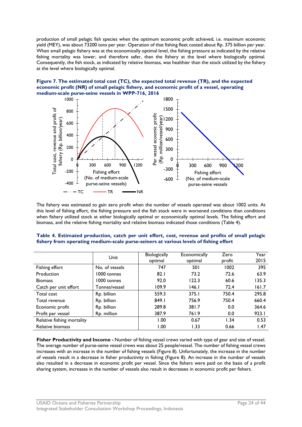production of small pelagic fish species when the optimum economic profit achieved, i.e. maximum economic yield (MEY), was about 73200 tons per year. Operation of that fishing fleet costed about Rp. 375 billion per year. When small pelagic fishery was at the economically optimal level, the fishing pressure as indicated by the relative fishing mortality was lower, and therefore safer, than the fishery at the level where biologically optimal. Consequently, the fish stock, as indicated by relative biomass, was healthier than the stock utilized by the fishery at the level where biologically optimal.

#### <span id="page-25-1"></span>**Figure 7. The estimated total cost (TC), the expected total revenue (TR), and the expected economic profit (NR) of small pelagic fishery, and economic profit of a vessel, operating medium-scale purse-seine vessels in WPP-716, 2016**



The fishery was estimated to gain zero profit when the number of vessels operated was about 1002 units. At this level of fishing effort, the fishing pressure and the fish stock were in worsened conditions than conditions when fishery utilized stock at either biologically optimal or economically optimal levels. The fishing effort and biomass, and the relative fishing mortality and relative biomass indicated those conditions (Table 4).

|                            |                | <b>Biologically</b> | Economically | Zero   | Year  |
|----------------------------|----------------|---------------------|--------------|--------|-------|
|                            | Unit           | optimal             | optimal      | profit | 2015  |
| Fishing effort             | No. of vessels | 747                 | 50 I         | 1002   | 395   |
| Production                 | 1000 tonnes    | 82.1                | 73.2         | 72.6   | 63.9  |
| <b>Biomass</b>             | 1000 tonnes    | 92.0                | 122.3        | 60.6   | 135.3 |
| Catch per unit effort      | Tonnes/vessel  | 109.9               | 146.1        | 72.4   | 161.7 |
| Total cost                 | Rp. billion    | 559.3               | 375.1        | 750.4  | 295.8 |
| Total revenue              | Rp. billion    | 849.1               | 756.9        | 750.4  | 660.4 |
| Economic profit            | Rp. billion    | 289.8               | 381.7        | 0.0    | 364.6 |
| Profit per vessel          | Rp. million    | 387.9               | 761.9        | 0.0    | 923.1 |
| Relative fishing mortality | 1.00           | 0.67                | 1.34         | 0.53   |       |
| Relative biomass           | 1.00           | 1.33                | 0.66         | I.47   |       |

#### <span id="page-25-0"></span>**Table 4. Estimated production, catch per unit effort, cost, revenue and profits of small pelagic fishery from operating medium-scale purse-seiners at various levels of fishing effort**

**Fisher Productivity and Income -** Number of fishing vessel crews varied with type of gear and size of vessel. The average number of purse-seine vessel crews was about 25 people/vessel. The number of fishing vessel crews increases with an increase in the number of fishing vessels (Figure 8). Unfortunately, the increase in the number of vessels result in a decrease in fisher productivity in fishing (Figure 8). An increase in the number of vessels also resulted in a decrease in economic profit per vessel. Since the fishers were paid on the basis of a profit sharing system, increases in the number of vessels also result in decreases in economic profit per fishers.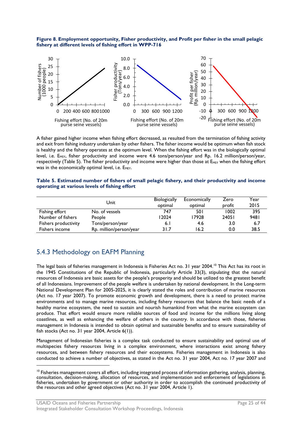<span id="page-26-1"></span>



A fisher gained higher income when fishing effort decreased, as resulted from the termination of fishing activity and exit from fishing industry undertaken by other fishers. The fisher income would be optimum when fish stock is healthy and the fishery operates at the optimum level. When the fishing effort was in the biologically optimal level, i.e. E<sub>MSY</sub>, fisher productivity and income were 4.6 tons/person/year and Rp. 16.2 million/person/year, respectively (Table 5). The fisher productivity and income were higher than those at  $E_{MST}$  when the fishing effort was in the economically optimal level, i.e.  $E_{\text{MET}}$ .

#### <span id="page-26-0"></span>**Table 5. Estimated number of fishers of small pelagic fishery, and their productivity and income operating at various levels of fishing effort**

|                      | Unit                    | <b>Biologically</b><br>optimal | Economically<br>optimal | Zero<br>profit | Year<br>2015 |
|----------------------|-------------------------|--------------------------------|-------------------------|----------------|--------------|
| Fishing effort       | No. of vessels          | 747                            | 501                     | 1002           | 395          |
| Number of fishers    | People                  | 12024                          | 17928                   | 24051          | 9481         |
| Fishers productivity | Tons/person/year        | 6.1                            | 4.6                     | 3.0            | 6.7          |
| Fishers income       | Rp. million/person/year | 31.7                           | 16.2                    | 0.0            | 38.5         |

# 5.4.3 Methodology on EAFM Planning

The legal basis of fisheries management in Indonesia is Fisheries Act no. 31 year 2004.<sup>[10](#page-26-2)</sup> This Act has its root in the 1945 Constitutions of the Republic of Indonesia, particularly Article 33(3), stipulating that the natural resources of Indonesia are basic assets for the people's prosperity and should be utilized to the greatest benefit of all Indonesians. Improvement of the people welfare is undertaken by national development. In the Long-term National Development Plan for 2005-2025, it is clearly stated the roles and contribution of marine resources (Act no. 17 year 2007). To promote economic growth and development, there is a need to protect marine environments and to manage marine resources, including fishery resources that balance the basic needs of a healthy marine ecosystem, the need to sustain and nourish humankind from what the marine ecosystem can produce. That effort would ensure more reliable sources of food and income for the millions living along coastlines, as well as enhancing the welfare of others in the country. In accordance with those, fisheries management in Indonesia is intended to obtain optimal and sustainable benefits and to ensure sustainability of fish stocks (Act no. 31 year 2004, Article 6(1)).

Management of Indonesian fisheries is a complex task conducted to ensure sustainability and optimal use of multispecies fishery resources living in a complex environment, where interactions exist among fishery resources, and between fishery resources and their ecosystems. Fisheries management in Indonesia is also conducted to achieve a number of objectives, as stated in the Act no. 31 year 2004, Act no. 17 year 2007 and

<span id="page-26-2"></span><sup>&</sup>lt;sup>10</sup> Fisheries management covers all effort, including integrated process of information gathering, analysis, planning, consultation, decision-making, allocation of resources, and implementation and enforcement of legislations in fisheries, undertaken by government or other authority in order to accomplish the continued productivity of the resources and other agreed objectives (Act no. 31 year 2004, Article 1).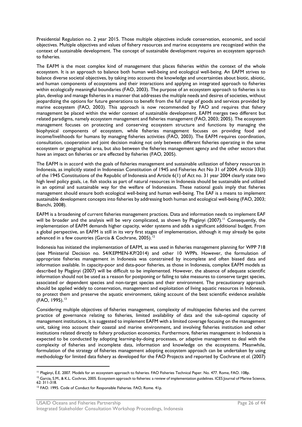Presidential Regulation no. 2 year 2015. Those multiple objectives include conservation, economic, and social objectives. Multiple objectives and values of fishery resources and marine ecosystems are recognized within the context of sustainable development. The concept of sustainable development requires an ecosystem approach to fisheries.

The EAFM is the most complex kind of management that places fisheries within the context of the whole ecosystem. It is an approach to balance both human well-being and ecological well-being. An EAFM strives to balance diverse societal objectives, by taking into accounts the knowledge and uncertainties about biotic, abiotic, and human components of ecosystems and their interactions and applying an integrated approach to fisheries within ecologically meaningful boundaries (FAO, 2003). The purpose of an ecosystem approach to fisheries is to plan, develop and manage fisheries in a manner that addresses the multiple needs and desires of societies, without jeopardizing the options for future generations to benefit from the full range of goods and services provided by marine ecosystem (FAO, 2003). This approach is now recommended by FAO and requires that fishery management be placed within the wider context of sustainable development. EAFM merges two different but related paradigms, namely ecosystem management and fisheries management (FAO, 2003; 2005). The ecosystem management focuses on protecting and conserving ecosystem structure and functions by managing the biophysical components of ecosystem, while fisheries management focuses on providing food and income/livelihoods for humans by managing fisheries activities (FAO, 2003). The EAFM requires coordination, consultation, cooperation and joint decision making not only between different fisheries operating in the same ecosystem or geographical area, but also between the fisheries management agency and the other sectors that have an impact on fisheries or are effected by fisheries (FAO, 2005).

The EAFM is in accord with the goals of fisheries management and sustainable utilization of fishery resources in Indonesia, as implicitly stated in Indonesian Constitution of 1945 and Fisheries Act No 31 of 2004. Article 33(3) of the 1945 Constitutions of the Republic of Indonesia and Article 6(1) of Act no. 31 year 2004 clearly state two high level policy goals, i.e. fish stocks as part of natural resources in Indonesia should be sustainable and utilized in an optimal and sustainable way for the welfare of Indonesians. These national goals imply that fisheries management should ensure both ecological well-being and human well-being. The EAF is a means to implement sustainable development concepts into fisheries by addressing both human and ecological well-being (FAO, 2003; Bianchi, 2008).

EAFM is a broadening of current fisheries management practices. Data and information needs to implement EAF will be broader and the analysis will be very complicated, as shown by Plagányi (2007). [11](#page-27-0) Consequently, the implementation of EAFM demands higher capacity, wider systems and adds a significant additional budget. From a global perspective, an EAFM is still in its very first stages of implementation, although it may already be quite advanced in a few countries (Garcia & Cochrane, 2005).<sup>[12](#page-27-1)</sup>

Indonesia has initiated the implementation of EAFM, as was used in fisheries management planning for WPP 718 (see Ministerial Decision no. 54/KEPMEN-KP/2014) and other 10 WPPs. However, the formulation of appropriate fisheries management in Indonesia was constrained by incomplete and often biased data and information available. In capacity-poor and data-poor fisheries, as those in Indonesia, complex EAFM models as described by Plagányi (2007) will be difficult to be implemented. However, the absence of adequate scientific information should not be used as a reason for postponing or failing to take measures to conserve target species, associated or dependent species and non-target species and their environment. The precautionary approach should be applied widely to conservation, management and exploitation of living aquatic resources in Indonesia, to protect them and preserve the aquatic environment, taking account of the best scientific evidence available  $(FAO, 1995).$ <sup>[13](#page-27-2)</sup>

Considering multiple objectives of fisheries management, complexity of multispecies fisheries and the current practice of governance relating to fisheries, limited availability of data and the sub-optimal capacity of management institutions, it is suggested to implement EAFM with a limited coverage focusing on the management unit, taking into account their coastal and marine environment, and involving fisheries institution and other institutions related directly to fishery production economics. Furthermore, fisheries management in Indonesia is expected to be conducted by adopting learning-by-doing processes, or adaptive management to deal with the complexity of fisheries and incomplete data, information and knowledge on the ecosystems. Meanwhile, formulation of the strategy of fisheries management adopting ecosystem approach can be undertaken by using methodology for limited data fishery as developed for the FAO Projects and reported by Cochrane *et al*. (2007)

<span id="page-27-0"></span><sup>&</sup>lt;sup>11</sup> Plagányi, É.E. 2007. Models for an ecosystem approach to fisheries. FAO Fisheries Technical Paper. No. 477. Rome, FAO. 108p.

<span id="page-27-1"></span><sup>&</sup>lt;sup>12</sup> Garcia, S.M., & K.L. Cochran, 2005. Ecosystem approach to fisheries: a review of implementation guidelines. ICES Journal of Marine Science,<br>62: 311-318.

<span id="page-27-2"></span><sup>&</sup>lt;sup>13</sup> FAO. 1995. Code of Conduct for Responsible Fisheries. FAO, Rome. 41p.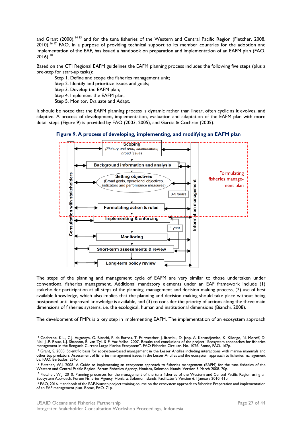and Grant (2008),<sup>14,[15](#page-28-2)</sup> and for the tuna fisheries of the Western and Central Pacific Region (Fletcher, 2008, 2010).<sup>[16,](#page-28-3)[17](#page-28-4)</sup> FAO, in a purpose of providing technical support to its member countries for the adoption and implementation of the EAF, has issued a handbook on preparation and implementation of an EAFM plan (FAO,  $2016$ .<sup>[18](#page-28-5)</sup>

Based on the CTI Regional EAFM guidelines the EAFM planning process includes the following five steps (plus a pre-step for start-up tasks):

Step 1. Define and scope the fisheries management unit;

Step 2. Identify and prioritize issues and goals;

Step 3. Develop the EAFM plan;

Step 4. Implement the EAFM plan;

Step 5. Monitor, Evaluate and Adapt.

It should be noted that the EAFM planning process is dynamic rather than linear, often cyclic as it evolves, and adaptive. A process of development, implementation, evaluation and adaptation of the EAFM plan with more detail steps (Figure 9) is provided by FAO (2003, 2005), and Garcia & Cochran (2005).

<span id="page-28-0"></span>



The steps of the planning and management cycle of EAFM are very similar to those undertaken under conventional fisheries management. Additional mandatory elements under an EAF framework include (1) stakeholder participation at all steps of the planning, management and decision-making process, (2) use of best available knowledge, which also implies that the planning and decision making should take place without being postponed until improved knowledge is available, and (3) to consider the priority of actions along the three main dimensions of fisheries systems, i.e. the ecological, human and institutional dimensions (Bianchi, 2008).

The development of FMPs is a key step in implementing EAFM. The implementation of an ecosystem approach

<span id="page-28-1"></span><sup>—&</sup>lt;br><sup>14</sup> Cochrane, K.L., C.J. Augustyn, G. Bianchi, P. de Barros, T. Fairweather, J. litembu, D. Japp, A. Kanandjembo, K. Kilongo, N. Moroff, D.<br>Nel, J.-P. Roux, L.J. Shannon, B. van Zyl, & F. Vaz Velho. 2007. Results and co

<span id="page-28-2"></span><sup>&</sup>lt;sup>15</sup> Grant, S. 2008. Scientific basis for ecosystem-based management in the Lesser Antilles including interactions with marine mammals and other top predators: Assessment of fisheries management issues in the Lesser Antilles and the ecosystem approach to fisheries management by, FAO, Barbados. 254p.

<span id="page-28-3"></span><sup>&</sup>lt;sup>16</sup> Fletcher, W.J. 2008. A Guide to implementing an ecosystem approach to fisheries management (EAFM) for the tuna fisheries of the<br>Western and Central Pacific Region. Forum Fisheries Agency, Honiara, Solomon Islands. Ver

<span id="page-28-4"></span><sup>&</sup>lt;sup>17</sup> Fletcher, W.J. 2010. Planning processes for the management of the tuna fisheries of the Western and Central Pacific Region using an<br>Ecosystem Approach. Forum Fisheries Agency, Honiara, Solomon Islands. Facilitator's V

<span id="page-28-5"></span><sup>&</sup>lt;sup>18</sup> FAO, 2016. Handbook of the EAF-Nansen project training course on the ecosystem approach to fisheries: Preparation and implementation of an EAF management plan. Rome, FAO. 71p.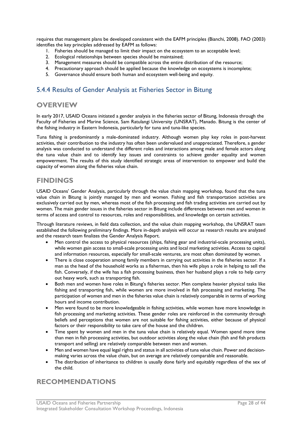requires that management plans be developed consistent with the EAFM principles (Bianchi, 2008). FAO (2003) identifies the key principles addressed by EAFM as follows:

- 1. Fisheries should be managed to limit their impact on the ecosystem to an acceptable level;
- 2. Ecological relationships between species should be maintained;
- 3. Management measures should be compatible across the entire distribution of the resource;
- 4. Precautionary approach should be applied because the knowledge on ecosystems is incomplete;
- 5. Governance should ensure both human and ecosystem well-being and equity.

# 5.4.4 Results of Gender Analysis at Fisheries Sector in Bitung

### **OVERVIEW**

In early 2017, USAID Oceans initiated a gender analysis in the fisheries sector of Bitung, Indonesia through the Faculty of Fisheries and Marine Science, Sam Ratulangi University (UNSRAT), Manado. Bitung is the center of the fishing industry in Eastern Indonesia, particularly for tuna and tuna-like species.

Tuna fishing is predominantly a male-dominated industry. Although women play key roles in post-harvest activities, their contribution to the industry has often been undervalued and unappreciated. Therefore, a gender analysis was conducted to understand the different roles and interactions among male and female actors along the tuna value chain and to identify key issues and constraints to achieve gender equality and women empowerment. The results of this study identified strategic areas of intervention to empower and build the capacity of women along the fisheries value chain.

# **FINDINGS**

USAID Oceans' Gender Analysis, particularly through the value chain mapping workshop, found that the tuna value chain in Bitung is jointly managed by men and women. Fishing and fish transportation activities are exclusively carried out by men, whereas most of the fish processing and fish trading activities are carried out by women. The main gender issues in the fisheries sector in Bitung include differences between men and women in terms of access and control to resources, roles and responsibilities, and knowledge on certain activities.

Through literature reviews, in field data collection, and the value chain mapping workshop, the UNSRAT team established the following preliminary findings. More in-depth analysis will occur as research results are analyzed and the research team finalizes the Gender Analysis Report.

- Men control the access to physical resources (ships, fishing gear and industrial-scale processing units), while women gain access to small-scale processing units and local marketing activities. Access to capital and information resources, especially for small-scale ventures, are most often dominated by women.
- There is close cooperation among family members in carrying out activities in the fisheries sector. If a man as the head of the household works as a fisherman, then his wife plays a role in helping to sell the fish. Conversely, if the wife has a fish processing business, then her husband plays a role to help carry out heavy work, such as transporting fish.
- Both men and women have roles in Bitung's fisheries sector. Men complete heavier physical tasks like fishing and transporting fish, while women are more involved in fish processing and marketing. The participation of women and men in the fisheries value chain is relatively comparable in terms of working hours and income contribution.
- Men were found to be more knowledgeable in fishing activities, while women have more knowledge in fish processing and marketing activities. These gender roles are reinforced in the community through beliefs and perceptions that women are not suitable for fishing activities, either because of physical factors or their responsibility to take care of the house and the children.
- Time spent by women and men in the tuna value chain is relatively equal. Women spend more time than men in fish processing activities, but outdoor activities along the value chain (fish and fish products transport and selling) are relatively comparable between men and women.
- Men and women have equal legal rights and status in all activities of tuna value chain. Power and decisionmaking varies across the value chain, but on average are relatively comparable and reasonable.
- The distribution of inheritance to children is usually done fairly and equitably regardless of the sex of the child.

# **RECOMMENDATIONS**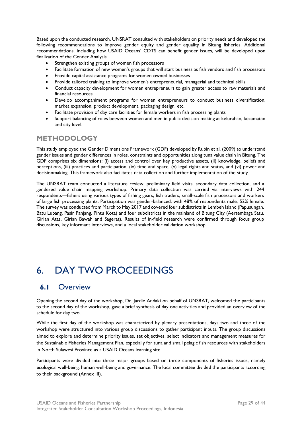Based upon the conducted research, UNSRAT consulted with stakeholders on priority needs and developed the following recommendations to improve gender equity and gender equality in Bitung fisheries. Additional recommendations, including how USAID Oceans' CDTS can benefit gender issues, will be developed upon finalization of the Gender Analysis.

- Strengthen existing groups of women fish processors
- Facilitate formation of new women's groups that will start business as fish vendors and fish processors
- Provide capital assistance programs for women-owned businesses
- Provide tailored training to improve women's entrepreneurial, managerial and technical skills
- Conduct capacity development for women entrepreneurs to gain greater access to raw materials and financial resources
- Develop accompaniment programs for women entrepreneurs to conduct business diversification, market expansion, product development, packaging design, etc.
- Facilitate provision of day care facilities for female workers in fish processing plants
- Support balancing of roles between women and men in public decision-making at kelurahan, kecamatan and city level.

### **METHODOLOGY**

This study employed the Gender Dimensions Framework (GDF) developed by Rubin et al. (2009) to understand gender issues and gender differences in roles, constraints and opportunities along tuna value chain in Bitung. The GDF comprises six dimensions: (i) access and control over key productive assets, (ii) knowledge, beliefs and perceptions, (iii) practices and participation, (iv) time and space, (v) legal rights and status, and (vi) power and decisionmaking. This framework also facilitates data collection and further implementation of the study.

The UNSRAT team conducted a literature review, preliminary field visits, secondary data collection, and a gendered value chain mapping workshop. Primary data collection was carried via interviews with 244 respondents—fishers using various types of fishing gears, fish traders, small-scale fish processors and workers of large fish processing plants. Participation was gender-balanced, with 48% of respondents male, 52% female. The survey was conducted from March to May 2017 and covered four subdistricts in Lembeh Island (Papusungan, Batu Lubang, Pasir Panjang, Pintu Kota) and four subdistricts in the mainland of Bitung City (Aertembaga Satu, Girian Atas, Girian Bawah and Sagerat). Results of in-field research were confirmed through focus group discussions, key informant interviews, and a local stakeholder validation workshop.

# <span id="page-30-0"></span>6. DAY TWO PROCEEDINGS

### <span id="page-30-1"></span>**6.1** Overview

Opening the second day of the workshop, Dr. Jardie Andaki on behalf of UNSRAT, welcomed the participants to the second day of the workshop, gave a brief synthesis of day one activities and provided an overview of the schedule for day two.

While the first day of the workshop was characterized by plenary presentations, days two and three of the workshop were structured into various group discussions to gather participant inputs. The group discussions aimed to explore and determine priority issues, set objectives, select indicators and management measures for the Sustainable Fisheries Management Plan, especially for tuna and small pelagic fish resources with stakeholders in North Sulawesi Province as a USAID Oceans learning site.

Participants were divided into three major groups based on three components of fisheries issues, namely ecological well-being, human well-being and governance. The local committee divided the participants according to their background (Annex III).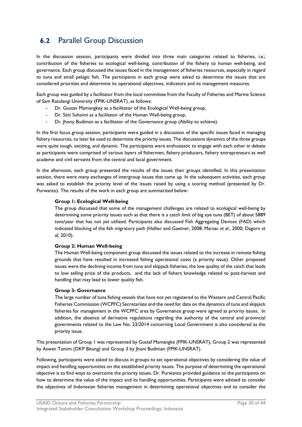# <span id="page-31-0"></span>**6.2** Parallel Group Discussion

In the discussion session, participants were divided into three main categories related to fisheries, i.e.; contribution of the fisheries to ecological well-being, contribution of the fishery to human well-being, and governance. Each group discussed the issues faced in the management of fisheries resources, especially in regard to tuna and small pelagic fish. The participants in each group were asked to determine the issues that are considered priorities and determine its operational objectives, indicators and its management measures.

Each group was guided by a facilitator from the local committee from the Faculty of Fisheries and Marine Science of Sam Ratulangi University (FPIK-UNSRAT), as follows:

- Dr. Gustav Mamangkey as a facilitator of the Ecological Well-being group,
- Dr. Sitti Suhaimi as a facilitator of the Human Well-being group,
- Dr. Jhony Budiman as a facilitator of the Governance group (Ability to achieve).

In the first focus group session, participants were guided in a discussion of the specific issues faced in managing fishery resources, to later be used to determine the priority issues. The discussions dynamics of the three groups were quite tough, exciting, and dynamic. The participants were enthusiastic to engage with each other in debate as participants were comprised of various layers of fishermen, fishery producers, fishery entrepreneurs as well academe and civil servants from the central and local government.

In the afternoon, each group presented the results of the issues their groups identified. In this presentation session, there were many exchanges of intergroup issues that came up. In the subsequent activities, each group was asked to establish the priority level of the issues raised by using a scoring method (presented by Dr. Purwanto). The results of the work in each group are summarized below:

#### **Group 1: Ecological Well-being**

The group discussed that some of the management challenges are related to ecological well-being by determining some priority issues such as that there is a catch limit of big eye tuna (BET) of about 5889 tons/year that has not yet utilized. Participants also discussed Fish Aggregating Devices (FAD) which indicated blocking of the fish migratory path (Hallier and Gaetner, 2008: Marsac *et al*., 2000; Dagorn *et al*, 2010).

#### **Group 2: Human Well-being**

The Human Well-being component group discussed the issues related to the increase in remote fishing grounds that have resulted in increased fishing operational costs (a priority issue). Other proposed issues were the declining income from tuna and skipjack fisheries, the low quality of the catch that leads to low selling price of the products, and the lack of fishers knowledge related to post-harvest and handling that may lead to lower quality fish.

#### **Group 3: Governance**

The large number of tuna fishing vessels that have not yet registered to the Western and Central Pacific Fisheries Commission (WCPFC) Secretariate and the need for data on the dynamics of tuna and skipjack fisheries for management in the WCPFC area by Governance group were agreed as priority issues. In addition, the absence of derivative regulations regarding the authority of the central and provincial governments related to the Law No. 23/2014 concerning Local Government is also considered as the priority issue.

The presentation of Group 1 was represented by Gustaf Mamangke (FPIK-UNSRAT), Group 2 was represented by Aswan Tamim (DKP Bitung) and Group 3 by Jhoni Budiman (FPIK-UNSRAT).

Following, participants were asked to discuss in groups to set operational objectives by considering the value of impact and handling opportunities on the established priority issues. The purpose of determining the operational objective is to find ways to overcome the priority issues. Dr. Purwanto provided guidance to the participants on how to determine the value of the impact and its handling opportunities. Participants were advised to consider the objectives of Indonesian fisheries management in determining operational objectives and to consider the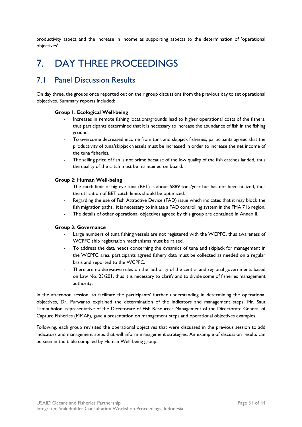productivity aspect and the increase in income as supporting aspects to the determination of 'operational objectives'.

# <span id="page-32-0"></span>7. DAY THREE PROCEEDINGS

# <span id="page-32-1"></span>7.1 Panel Discussion Results

On day three, the groups once reported out on their group discussions from the previous day to set operational objectives. Summary reports included:

#### **Group 1: Ecological Well-being**

- Increases in remote fishing locations/grounds lead to higher operational costs of the fishers, thus participants determined that it is necessary to increase the abundance of fish in the fishing ground.
- To overcome decreased income from tuna and skipjack fisheries, participants agreed that the productivity of tuna/skipjack vessels must be increased in order to increase the net income of the tuna fisheries.
- The selling price of fish is not prime because of the low quality of the fish catches landed, thus the quality of the catch must be maintained on board.

#### **Group 2: Human Well-being**

- The catch limit of big eye tuna (BET) is about 5889 tons/year but has not been utilized, thus the utilization of BET catch limits should be optimized.
- Regarding the use of Fish Attractive Device (FAD) issue which indicates that it may block the fish migration paths, it is necessary to initiate a FAD controlling system in the FMA 716 region.
- The details of other operational objectives agreed by this group are contained in Annex II.

#### **Group 3: Governance**

- Large numbers of tuna fishing vessels are not registered with the WCPFC, thus awareness of WCPFC ship registration mechanisms must be raised.
- To address the data needs concerning the dynamics of tuna and skipjack for management in the WCPFC area, participants agreed fishery data must be collected as needed on a regular basis and reported to the WCPFC.
- There are no derivative rules on the authority of the central and regional governments based on Law No. 23/201, thus it is necessary to clarify and to divide some of fisheries management authority.

In the afternoon session, to facilitate the participants' further understanding in determining the operational objectives, Dr. Purwanto explained the determination of the indicators and management steps. Mr. Saut Tampubolon, representative of the Directorate of Fish Resources Management of the Directorate General of Capture Fisheries (MMAF), gave a presentation on management steps and operational objectives examples.

Following, each group revisited the operational objectives that were discussed in the previous session to add indicators and management steps that will inform management strategies. An example of discussion results can be seen in the table compiled by Human Well-being group: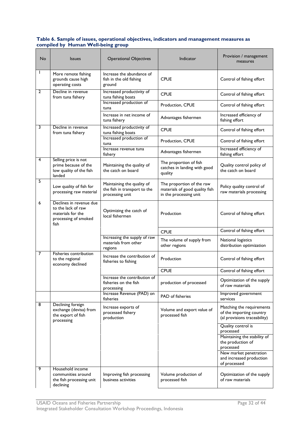#### <span id="page-33-0"></span>**Table 6. Sample of issues, operational objectives, indicators and management measures as compiled by Human Well-being group**

| No           | <b>Issues</b>                                                                                      | <b>Operational Objectives</b>                                                 | Indicator                                                                             | Provision / management<br>measures                                                    |
|--------------|----------------------------------------------------------------------------------------------------|-------------------------------------------------------------------------------|---------------------------------------------------------------------------------------|---------------------------------------------------------------------------------------|
|              | More remote fishing<br>grounds cause high<br>operating costs                                       | Increase the abundance of<br>fish in the old fishing<br>ground                | <b>CPUE</b>                                                                           | Control of fishing effort                                                             |
| $\mathbf{2}$ | Decline in revenue<br>from tuna fishery                                                            | Increased productivity of<br>tuna fishing boats                               | <b>CPUE</b>                                                                           | Control of fishing effort                                                             |
|              |                                                                                                    | Increased production of<br>tuna                                               | Production, CPUE                                                                      | Control of fishing effort                                                             |
|              |                                                                                                    | Increase in net income of<br>tuna fishery                                     | Advantages fishermen                                                                  | Increased efficiency of<br>fishing effort                                             |
| 3            | Decline in revenue<br>from tuna fishery                                                            | Increased productivity of<br>tuna fishing boats                               | <b>CPUE</b>                                                                           | Control of fishing effort                                                             |
|              |                                                                                                    | Increased production of<br>tuna                                               | Production, CPUE                                                                      | Control of fishing effort                                                             |
|              |                                                                                                    | Increase revenue tuna<br>fishery                                              | Advantages fishermen                                                                  | Increased efficiency of<br>fishing effort                                             |
| 4            | Selling price is not<br>prime because of the<br>low quality of the fish<br>landed                  | Maintaining the quality of<br>the catch on board                              | The proportion of fish<br>catches in landing with good<br>quality                     | Quality control policy of<br>the catch on board                                       |
| 5            | Low quality of fish for<br>processing raw material                                                 | Maintaining the quality of<br>the fish in transport to the<br>processing unit | The proportion of the raw<br>materials of good quality fish<br>in the processing unit | Policy quality control of<br>raw materials processing                                 |
| 6            | Declines in revenue due<br>to the lack of raw<br>materials for the<br>processing of smoked<br>fish | Optimizing the catch of<br>local fishermen                                    | Production                                                                            | Control of fishing effort                                                             |
|              |                                                                                                    |                                                                               | <b>CPUE</b>                                                                           | Control of fishing effort                                                             |
|              |                                                                                                    | Increasing the supply of raw<br>materials from other<br>regions               | The volume of supply from<br>other regions                                            | National logistics<br>distribution optimization                                       |
| 7            | Fisheries contribution<br>to the regional<br>economy declined                                      | Increase the contribution of<br>fisheries to fishing                          | Production                                                                            | Control of fishing effort                                                             |
|              |                                                                                                    |                                                                               | <b>CPUE</b>                                                                           | Control of fishing effort                                                             |
|              |                                                                                                    | Increase the contribution of<br>fisheries on the fish<br>processing           | production of processed                                                               | Optimization of the supply<br>of raw materials                                        |
|              |                                                                                                    | Increase Revenue (PAD) on<br>fisheries                                        | <b>PAD</b> of fisheries                                                               | Improved government<br>services                                                       |
| 8            | Declining foreign<br>exchange (devisa) from<br>the export of fish<br>processing                    | Increase exports of<br>processed fishery<br>production                        | Volume and export value of<br>processed fish                                          | Matching the requirements<br>of the importing country<br>(al provisions traceability) |
|              |                                                                                                    |                                                                               |                                                                                       | Quality control is<br>processed                                                       |
|              |                                                                                                    |                                                                               |                                                                                       | Maintaining the stability of<br>the production of<br>processed                        |
|              |                                                                                                    |                                                                               |                                                                                       | New market penetration<br>and increased production<br>of processed                    |
| 9            | Household income<br>communities around<br>the fish processing unit<br>declining                    | Improving fish processing<br>business activities                              | Volume production of<br>processed fish                                                | Optimization of the supply<br>of raw materials                                        |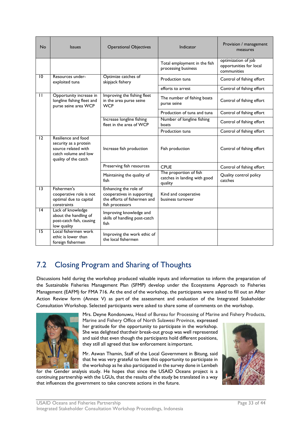| <b>No</b>       | <b>Issues</b>                                                                                                       | <b>Operational Objectives</b>                                                                          | Indicator                                                         | Provision / management<br>measures                            |
|-----------------|---------------------------------------------------------------------------------------------------------------------|--------------------------------------------------------------------------------------------------------|-------------------------------------------------------------------|---------------------------------------------------------------|
|                 |                                                                                                                     |                                                                                                        | Total employment in the fish<br>processing business               | optimization of job<br>opportunities for local<br>communities |
| $\overline{10}$ | Resources under-<br>exploited tuna                                                                                  | Optimize catches of<br>skipjack fishery                                                                | Production tuna                                                   | Control of fishing effort                                     |
|                 |                                                                                                                     |                                                                                                        | efforts to arrest                                                 | Control of fishing effort                                     |
| $\mathbf{H}$    | Opportunity increase in<br>longline fishing fleet and<br>purse seine area WCP                                       | Improving the fishing fleet<br>in the area purse seine<br><b>WCP</b>                                   | The number of fishing boats<br>purse seine                        | Control of fishing effort                                     |
|                 |                                                                                                                     |                                                                                                        | Production of tuna and tuna                                       | Control of fishing effort                                     |
|                 |                                                                                                                     | Increase longline fishing<br>fleet in the area of WCP                                                  | Number of longline fishing<br>boats                               | Control of fishing effort                                     |
|                 |                                                                                                                     |                                                                                                        | Production tuna                                                   | Control of fishing effort                                     |
| 12              | Resilience and food<br>security as a protein<br>source related with<br>catch volume and low<br>quality of the catch | Increase fish production                                                                               | Fish production                                                   | Control of fishing effort                                     |
|                 |                                                                                                                     | Preserving fish resources                                                                              | <b>CPUE</b>                                                       | Control of fishing effort                                     |
|                 |                                                                                                                     | Maintaining the quality of<br>fish                                                                     | The proportion of fish<br>catches in landing with good<br>quality | Quality control policy<br>catches                             |
| $\overline{13}$ | Fishermen's<br>cooperative role is not<br>optimal due to capital<br>constraints                                     | Enhancing the role of<br>cooperatives in supporting<br>the efforts of fishermen and<br>fish processors | Kind and cooperative<br>business turnover                         |                                                               |
| 4               | Lack of knowledge<br>about the handling of<br>post-catch fish, causing<br>low quality                               | Improving knowledge and<br>skills of handling post-catch<br>fish                                       |                                                                   |                                                               |
| 15              | Local fishermen work<br>ethic is lower than<br>foreign fishermen                                                    | Improving the work ethic of<br>the local fishermen                                                     |                                                                   |                                                               |

# <span id="page-34-0"></span>7.2 Closing Program and Sharing of Thoughts

Discussions held during the workshop produced valuable inputs and information to inform the preparation of the Sustainable Fisheries Management Plan (SFMP) develop under the Ecosystems Approach to Fisheries Management (EAFM) for FMA 716. At the end of the workshop, the participants were asked to fill out an After Action Review form (Annex V) as part of the assessment and evaluation of the Integrated Stakeholder Consultation Workshop. Selected participants were asked to share some of comments on the workshop.



Mrs. Deyne Rondonuwu, Head of Bureau for Processing of Marine and Fishery Products,

Marine and Fishery Office of North Sulawesi Province, expressed her gratitude for the opportunity to participate in the workshop. She was delighted thattheir break-out group was well represented and said that even though the participants hold different positions, they still all agreed that law enforcement isimportant.

Mr. Aswan Thamin, Staff of the Local Government in Bitung, said that he was very grateful to have this opportunity to participate in the workshop as he also participated in the survey done in Lembeh

for the Gender analysis study. He hopes that since the USAID Oceans project is a continuing partnership with the LGUs, that the results of the study be translated in a way that influences the government to take concrete actions in the future.

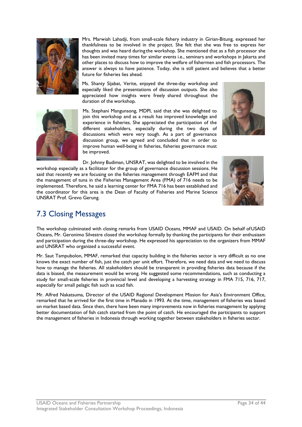

Mrs. Marwiah Lahadji, from small-scale fishery industry in Girian-Bitung, expressed her thankfulness to be involved in the project. She felt that she was free to express her thoughts and was heard during the workshop. She mentioned that as a fish processor she has been invited many times for similar events i.e., seminars and workshops in Jakarta and other places to discuss how to improve the welfare of fishermen and fish processors. The answer is always to have patience. Today, she is still patient and believes that a better future for fisheries lies ahead.

Ms. Shanty Sijabat, Verite, enjoyed the three-day workshop and especially liked the presentations of discussion outputs. She also appreciated how insights were freely shared throughout the duration of the workshop.

Ms. Stephani Mangunsong, MDPI, said that she was delighted to join this workshop and as a result has improved knowledge and experience in fisheries. She appreciated the participation of the different stakeholders, especially during the two days of discussions which were very tough. As a part of governance discussion group, we agreed and concluded that in order to improve human well-being in fisheries, fisheries governance must be improved.

Dr. Johnny Budiman, UNSRAT, was delighted to be involved in the workshop especially as a facilitator for the group of governance discussion sessions. He said that recently we are focusing on the fisheries management through EAFM and that the management of tuna in the Fisheries Management Area (FMA) of 716 needs to be implemented. Therefore, he said a learning center for FMA 716 has been established and the coordinator for this area is the Dean of Faculty of Fisheries and Marine Science UNSRAT Prof. Grevo Gerung.





# <span id="page-35-0"></span>7.3 Closing Messages

The workshop culminated with closing remarks from USAID Oceans, MMAF and USAID. On behalf ofUSAID Oceans, Mr. Geronimo Silvestre closed the workshop formally by thanking the participants for their enthusiasm and participation during the three-day workshop. He expressed his appreciation to the organizers from MMAF and UNSRAT who organized a successful event.

Mr. Saut Tampubolon, MMAF, remarked that capacity building in the fisheries sector is very difficult as no one knows the exact number of fish, just the catch per unit effort. Therefore, we need data and we need to discuss how to manage the fisheries. All stakeholders should be transparent in providing fisheries data because if the data is biased, the measurement would be wrong. He suggested some recommendations, such as conducting a study for small-scale fisheries in provincial level and developing a harvesting strategy in FMA 715, 716, 717, especially for small pelagic fish such as scad fish.

Mr. Alfred Nakatsuma, Director of the USAID Regional Development Mission for Asia's Environment Office, remarked that he arrived for the first time in Manado in 1993. At the time, management of fisheries was based on market based data. Since then, there have been many improvements now in fisheries management by applying better documentation of fish catch started from the point of catch. He encouraged the participants to support the management of fisheries in Indonesia through working together between stakeholders in fisheries sector.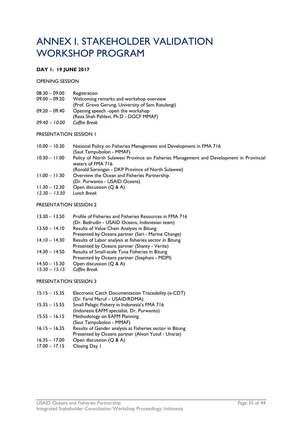# <span id="page-36-0"></span>ANNEX I. STAKEHOLDER VALIDATION WORKSHOP PROGRAM

#### **DAY 1: 19 JUNE 2017**

OPENING SESSION

| $08.30 - 09.00$ | Registration                                      |
|-----------------|---------------------------------------------------|
| $09.00 - 09.20$ | Welcoming remarks and workshop overview           |
|                 | (Prof. Grevo Gerung, University of Sam Ratulangi) |
| $09.20 - 09.40$ | Opening speech -open the workshop                 |
|                 | (Reza Shah Pahlevi, Ph.D - DGCF MMAF)             |
| $09.40 - 10.00$ | Coffee Break                                      |

#### PRESENTATION SESSION 1

| $10.00 - 10.30$ | National Policy on Fisheries Management and Development in FMA 716<br>(Saut Tampubolon - MMAF)               |
|-----------------|--------------------------------------------------------------------------------------------------------------|
| $10.30 - 11.00$ | Policy of North Sulawesi Province on Fisheries Management and Development in Provincial<br>waters of FMA 716 |
|                 | (Ronald Sorongan - DKP Province of North Sulawesi)                                                           |
| $11.00 - 11.30$ | Overview the Ocean and Fisheries Partnership                                                                 |
|                 | (Dr. Purwanto - USAID Oceans)                                                                                |
| $11.30 - 12.30$ | Open discussion (Q & A)                                                                                      |
| $12.30 - 13.30$ | Lunch Break                                                                                                  |

#### PRESENTATION SESSION 2

| $13.30 - 13.50$ | Profile of Fisheries and Fisheries Resources in FMA 716 |
|-----------------|---------------------------------------------------------|
|                 | (Dr. Badrudin - USAID Oceans, Indonesian team)          |
| $13.50 - 14.10$ | Results of Value Chain Analysis in Bitung               |
|                 | Presented by Oceans partner (Sari - Marine Change)      |
| $14.10 - 14.30$ | Results of Labor analysis at fisheries sector in Bitung |
|                 | Presented by Oceans partner (Shanty - Verite)           |
| $14.30 - 14.50$ | Results of Small-scale Tuna Fisheries in Bitung         |
|                 | Presented by Oceans partner (Stephani - MDPI)           |
| $14.50 - 15.30$ | Open discussion (Q & A)                                 |
| $15.30 - 15.15$ | Coffee Break                                            |

#### PRESENTATION SESSION 3

| $15.15 - 15.35$ | Electronic Catch Documentation Traceability (e-CDT)<br>(Dr. Farid Maruf - USAID/RDMA) |
|-----------------|---------------------------------------------------------------------------------------|
| $15.35 - 15.55$ | Small Pelagic Fishery in Indonesia's FMA 716                                          |
|                 | (Indonesia EAFM specialist, Dr. Purwanto)                                             |
| $15.55 - 16.15$ | Methodology on EAFM Planning                                                          |
|                 | (Saut Tampubolon - MMAF)                                                              |
| $16.15 - 16.35$ | Results of Gender analysis at Fisheries sector in Bitung                              |
|                 | Presented by Oceans partner (Alvon Yusuf - Unsrat)                                    |
| $16.35 - 17.00$ | Open discussion (Q & A)                                                               |
| $17.00 - 17.15$ | Closing Day 1                                                                         |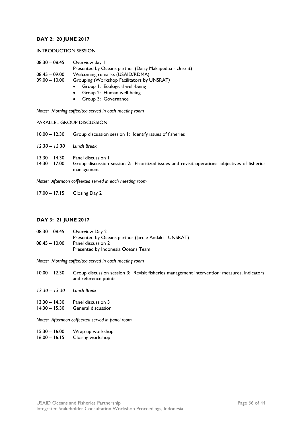#### **DAY 2: 20 JUNE 2017**

#### INTRODUCTION SESSION

- 08.30 08.45 Overview day 1 Presented by Oceans partner (Daisy Makapedua - Unsrat) 08.45 – 09.00 Welcoming remarks (USAID/RDMA)<br>09.00 – 10.00 Grouping (Workshop Facilitators by l
	- Grouping (Workshop Facilitators by UNSRAT)
		- Group 1: Ecological well-being
			- Group 2: Human well-being
			- Group 3: Governance

*Notes: Morning coffee/tea served in each meeting room*

PARALLEL GROUP DISCUSSION

10.00 – 12.30 Group discussion session 1: Identify issues of fisheries *12.30 – 13.30 Lunch Break* 13.30 – 14.30 Panel discussion 1<br>14.30 – 17.00 Group discussion Group discussion session 2: Prioritized issues and revisit operational objectives of fisheries management

*Notes: Afternoon coffee/tea served in each meeting room*

17.00 – 17.15 Closing Day 2

#### **DAY 3: 21 JUNE 2017**

08.30 – 08.45 Overview Day 2 Presented by Oceans partner (Jardie Andaki - UNSRAT) 08.45 – 10.00 Panel discussion 2 Presented by Indonesia Oceans Team

*Notes: Morning coffee/tea served in each meeting room*

- 10.00 12.30 Group discussion session 3: Revisit fisheries management intervention: measures, indicators, and reference points
- *12.30 – 13.30 Lunch Break*
- 13.30 14.30 Panel discussion 3<br>14.30 15.30 General discussion
- General discussion

*Notes: Afternoon coffee/tea served in panel room*

- 15.30 16.00 Wrap up workshop
- 16.00 16.15 Closing workshop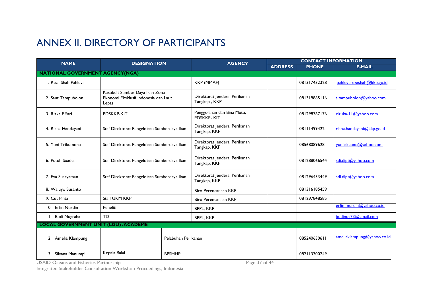# ANNEX II. DIRECTORY OF PARTICIPANTS

| <b>NAME</b>                                 | <b>DESIGNATION</b>                                                              | <b>CONTACT INFORMATION</b><br><b>AGENCY</b> |                                                 |                |              |                            |
|---------------------------------------------|---------------------------------------------------------------------------------|---------------------------------------------|-------------------------------------------------|----------------|--------------|----------------------------|
|                                             |                                                                                 |                                             |                                                 | <b>ADDRESS</b> | <b>PHONE</b> | <b>E-MAIL</b>              |
| <b>NATIONAL GOVERNMENT AGENCY(NGA)</b>      |                                                                                 |                                             |                                                 |                |              |                            |
| I. Reza Shah Pahlevi                        |                                                                                 |                                             | <b>KKP (MMAF)</b>                               |                | 081317432328 | pahlevi.rezashah@kkp.go.id |
| 2. Saut Tampubolon                          | Kasubdit Sumber Daya Ikan Zona<br>Ekonomi Eksklusif Indonesia dan Laut<br>Lepas |                                             | Direktorat Jenderal Perikanan<br>Tangkap, KKP   |                | 081319865116 | s.tampubolon@yahoo.com     |
| 3. Rizka F Sari                             | <b>PDSKKP-KIT</b>                                                               |                                             | Penggolahan dan Bina Mutu,<br><b>PDSKKP-KIT</b> |                | 081298767176 | rizuka-11@yahoo.com        |
| 4. Riana Handayani                          | Staf Direktorat Pengelolaan Sumberdaya Ikan                                     |                                             | Direktorat Jenderal Perikanan<br>Tangkap, KKP   |                | 08111499422  | riana.handayani@kkp.go.id  |
| 5. Yuni Trikumoro                           | Staf Direktorat Pengelolaan Sumberdaya Ikan                                     |                                             | Direktorat Jenderal Perikanan<br>Tangkap, KKP   |                | 08568089628  | yunilaksono@yahoo.com      |
| 6. Putuh Suadela                            | Staf Direktorat Pengelolaan Sumberdaya Ikan                                     |                                             | Direktorat Jenderal Perikanan<br>Tangkap, KKP   |                | 081288066544 | sdi.dipt@yahoo.com         |
| 7. Eva Suaryaman                            | Staf Direktorat Pengelolaan Sumberdaya Ikan                                     |                                             | Direktorat Jenderal Perikanan<br>Tangkap, KKP   |                | 081296433449 | sdi.dipt@yahoo.com         |
| 8. Waluyo Susanto                           |                                                                                 |                                             | <b>Biro Perencanaan KKP</b>                     |                | 081316185459 |                            |
| 9. Cut Pinta                                | Staff UKM KKP                                                                   |                                             | Biro Perencanaan KKP                            |                | 081297848585 |                            |
| 10. Erfin Nurdin                            | Peneliti                                                                        |                                             | <b>BPPL, KKP</b>                                |                |              | erfin_nurdin@yahoo.co.id   |
| 11. Budi Nugraha                            | <b>TD</b>                                                                       |                                             | <b>BPPL, KKP</b>                                |                |              | budinug73@gmail.com        |
| <b>LOCAL GOVERNMENT UNIT (LGU) /ACADEME</b> |                                                                                 |                                             |                                                 |                |              |                            |
| 12. Amelia Klampung                         |                                                                                 | Pelabuhan Perikanan                         |                                                 |                | 085240630611 | ameliaklampung@yahoo.co.id |
| 13. Silvana Manumpil                        | Kepala Balai                                                                    | <b>BPSMHP</b>                               |                                                 |                | 082113700749 |                            |

<span id="page-38-0"></span>USAID Oceans and Fisheries Partnership Page 37 of 44 and 2011 and 2012 and 2012 and 2012 and 2012 and 2012 and

Integrated Stakeholder Consultation Workshop Proceedings, Indonesia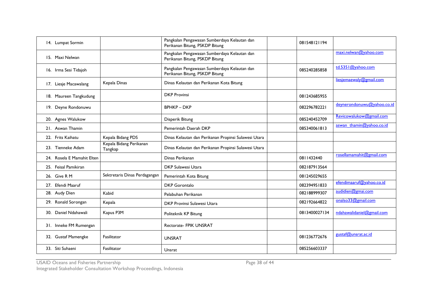| 14. Lumpat Sormin          |                                    | Pangkalan Pengawasan Sumberdaya Kelautan dan<br>Perikanan Bitung, PSKDP Bitung | 081548121194  |                            |
|----------------------------|------------------------------------|--------------------------------------------------------------------------------|---------------|----------------------------|
| 15. Maxi Nelwan            |                                    | Pangkalan Pengawasan Sumberdaya Kelautan dan<br>Perikanan Bitung, PSKDP Bitung |               | maxi.nelwan@yahoo.com      |
| 16. Irma Sesi Tidajoh      |                                    | Pangkalan Pengawasan Sumberdaya Kelautan dan<br>Perikanan Bitung, PSKDP Bitung | 085240285858  | td.5351@yahoo.com          |
| 17. Liesje Macawalang      | Kepala Dinas                       | Dinas Kelautan dan Perikanan Kota Bitung                                       |               | liesjemaewaly@gmail.com    |
| 18. Maureen Tangkudung     |                                    | <b>DKP</b> Provinsi                                                            | 081243685955  |                            |
| 19. Deyne Rondonuwu        |                                    | <b>BPHKP-DKP</b>                                                               | 082296782221  | deynerondonuwu@yahoo.co.id |
| 20. Agnes Walukow          |                                    | Disperik Bitung                                                                | 085240452709  | Revicowalukow@gmail.com    |
| 21. Aswan Thamin           |                                    | Pemerintah Daerah DKP                                                          | 085340061813  | aswan thamin@yahoo.co.id   |
| 22. Frits Kaihatu          | Kepala Bidang PDS                  | Dinas Kelautan dan Perikanan Propinsi Sulawesi Utara                           |               |                            |
| 23. Tienneke Adam          | Kepala Bidang Perikanan<br>Tangkap | Dinas Kelautan dan Perikanan Propinsi Sulawesi Utara                           |               |                            |
| 24. Rosela E Mamahit Elten |                                    | Dinas Perikanan                                                                | 0811432440    | rosellamamahit@gmail.com   |
| 25. Feisal Pamikiran       |                                    | <b>DKP Sulawesi Utara</b>                                                      | 082187913564  |                            |
| 26. Give R M               | Sektretaris Dinas Perdagangan      | Pemerintah Kota Bitung                                                         | 081245029655  |                            |
| 27. Efendi Maaruf          |                                    | <b>DKP</b> Gorontalo                                                           | 082394951833  | efendimaaruf@yahoo.co.id   |
| 28. Audy Dien              | Kabid                              | Pelabuhan Perikanan                                                            | 082188999307  | audidien@gmai.com          |
| 29. Ronald Sorongan        | Kepala                             | DKP Provinsi Sulawesi Utara                                                    | 082192664822  | onalso33@gmail.com         |
| 30. Daniel Ndahawali       | Kapus P3M                          | Politeknik KP Bitung                                                           | 0813400027134 | ndahawalidaniel@gmail.com  |
| 31. Inneke FM Rumengan     |                                    | <b>Rectorate- FPIK UNSRAT</b>                                                  |               |                            |
| 32. Gustaf Mamengke        | Fasilitator                        | <b>UNSRAT</b>                                                                  | 081236772676  | gustaf@unsrat.ac.id        |
| 33. Siti Suhaeni           | Fasilitator                        | Unsrat                                                                         | 085256603337  |                            |

USAID Oceans and Fisheries Partnership Page 38 of 44

Integrated Stakeholder Consultation Workshop Proceedings, Indonesia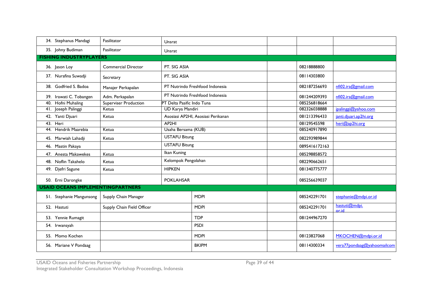| 34. Stephanus Mandagi                    | Fasilitator                  | Unsrat                     |                                    |  |               |                            |
|------------------------------------------|------------------------------|----------------------------|------------------------------------|--|---------------|----------------------------|
| 35. Johny Budiman                        | Fasilitator                  | Unsrat                     |                                    |  |               |                            |
| <b>FISHING INDUSTRYPLAYERS</b>           |                              |                            |                                    |  |               |                            |
| 36. Jason Loy                            | <b>Commercial Director</b>   | PT. SIG ASIA               |                                    |  | 08218888800   |                            |
| 37. Nurafina Suwadji                     | Secretary                    | PT. SIG ASIA               |                                    |  | 08114303800   |                            |
| 38. Godfried S. Badoa                    | Manajer Perkapalan           |                            | PT Nutrindo Freshfood Indonesia    |  | 082187256693  | nfi02.ira@gmail.com        |
| 39. Irawati C. Tobangen                  | Adm. Perkapalan              |                            | PT Nutrindo Freshfood Indonesia    |  | 081244209393  | nfi02.ira@gmail.com        |
| Hofni Muhaling<br>40.                    | <b>Superviser Production</b> | PT Delta Pasific Indo Tuna |                                    |  | 085256818664  |                            |
| Joseph Palinggi<br>41.                   | Ketua                        | <b>UD Karya Mandiri</b>    |                                    |  | 082326038888  | jpalinggi@yahoo.com        |
| 42. Yanti Djuari                         | Ketua                        |                            | Asosiasi AP2HI, Asosiasi Perikanan |  | 081213396433  | janti.djuari.ap2hi.org     |
| 43. Heri                                 |                              | AP <sub>2HI</sub>          |                                    |  | 08129545598   | heri@ap2hi.org             |
| Hendrik Maarebia<br>44.                  | Ketua                        | Usaha Bersama (KUB)        |                                    |  | 085240917890  |                            |
| 45. Marwiah Lahadji                      | Ketua                        | <b>USTAFU Bitung</b>       |                                    |  | 082293989844  |                            |
| 46. Mastin Pakaya                        |                              | <b>USTAFU Bitung</b>       |                                    |  | 0895416172163 |                            |
| 47. Anesta Makawekes                     | Ketua                        | Ikan Kuning                |                                    |  | 085298858572  |                            |
| 48. Noflin Takahelo                      | Ketua                        | Kelompok Pengolahan        |                                    |  | 082290662651  |                            |
| 49. Djefri Sagune                        | Ketua                        | <b>HIPKEN</b>              |                                    |  | 081340775777  |                            |
| 50. Erni Darongke                        |                              | <b>POKLAHSAR</b>           |                                    |  | 085256639037  |                            |
| <b>USAID OCEANS IMPLEMENTINGPARTNERS</b> |                              |                            |                                    |  |               |                            |
| 51. Stephanie Mangunsong                 | Supply Chain Manager         |                            | <b>MDPI</b>                        |  | 085242291701  | stephanie@mdpi.or.id       |
| 52. Hastuti                              | Supply Chain Field Officer   |                            | <b>MDPI</b>                        |  | 085242291701  | hastuti@mdpi.<br>or.id     |
| 53. Yennie Rumagit                       |                              |                            | <b>TDP</b>                         |  | 081244967270  |                            |
| 54. Irwansyah                            |                              |                            | <b>PSDI</b>                        |  |               |                            |
| 55. Momo Kochen                          |                              |                            | <b>MDPI</b>                        |  | 08123827068   | MKOCHEN@mdpi.or.id         |
| 56. Mariane V Pondaag                    |                              |                            | <b>BKIPM</b>                       |  | 08114300334   | vera77pondaag@yahoomailcom |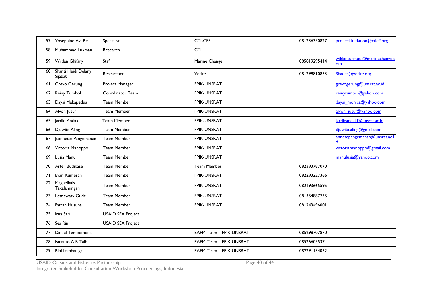| 57. Yosephine Avi Re               | Specialist               | <b>CTI-CFF</b>                 | 081236350827 | projecti.initiation@cticff.org     |
|------------------------------------|--------------------------|--------------------------------|--------------|------------------------------------|
| 58. Muhammad Lukman                | Research                 | CTI                            |              |                                    |
| 59. Wildan Ghifary                 | Staf                     | Marine Change                  | 085819295414 | wiklanturmudi@marinechange.c<br>om |
| 60. Shanti Heidi Delany<br>Sijabat | Researcher               | Verite                         | 081298810833 | Shades@verite.org                  |
| 61. Grevo Gerung                   | Project Manager          | <b>FPIK-UNSRAT</b>             |              | grevogerung@unsrat.ac.id           |
| 62. Reiny Tumbol                   | Coordinator Team         | <b>FPIK-UNSRAT</b>             |              | reinytumbol@yahoo.com              |
| 63. Daysi Makapedua                | Team Member              | FPIK-UNSRAT                    |              | daysi monica@yahoo.com             |
| 64. Alvon Jusuf                    | <b>Team Member</b>       | <b>FPIK-UNSRAT</b>             |              | alvon jusuf@yahoo.com              |
| 65. Jardie Andaki                  | <b>Team Member</b>       | FPIK-UNSRAT                    |              | jardieandaki@unsrat.ac.id          |
| 66. Djuwita Aling                  | <b>Team Member</b>       | <b>FPIK-UNSRAT</b>             |              | djuwita.aling@gmail.com            |
| 67. Jeannette Pangemanan           | <b>Team Member</b>       | <b>FPIK-UNSRAT</b>             |              | annetepangemanan@unsrat.ac.i       |
| 68. Victoria Manoppo               | <b>Team Member</b>       | <b>FPIK-UNSRAT</b>             |              | victoriamanoppo@gmail.com          |
| 69. Lusia Manu                     | <b>Team Member</b>       | FPIK-UNSRAT                    |              | manulusia@yahoo.com                |
| 70. Arter Budikase                 | <b>Team Member</b>       | <b>Team Member</b>             | 082393787070 |                                    |
| 71. Evan Kumesan                   | Team Member              | FPIK-UNSRAT                    | 082293227366 |                                    |
| 72. Maghelhais<br>Takalamingan     | <b>Team Member</b>       | FPIK-UNSRAT                    | 082193665595 |                                    |
| 73. Lestiawaty Gude                | <b>Team Member</b>       | <b>FPIK-UNSRAT</b>             | 081354887735 |                                    |
| 74. Fatrah Husuna                  | <b>Team Member</b>       | FPIK-UNSRAT                    | 081243496001 |                                    |
| 75. Irna Sari                      | <b>USAID SEA Project</b> |                                |              |                                    |
| 76. Ses Rini                       | <b>USAID SEA Project</b> |                                |              |                                    |
| 77. Daniel Tempomona               |                          | <b>EAFM Team - FPIK UNSRAT</b> | 085298707870 |                                    |
| 78. Ismanto A R Taib               |                          | <b>EAFM Team - FPIK UNSRAT</b> | 08526605537  |                                    |
| 79. Rini Lambaniga                 |                          | <b>EAFM Team - FPIK UNSRAT</b> | 082291134032 |                                    |

USAID Oceans and Fisheries Partnership Page 40 of 44 and 2012 11:00:00 Page 40 of 44 and 2012 12:00 Page 40 of 44 and 2012 12:00 Page 40 of 44 and 2012 12:00 Page 40 of 44 and 2012 12:00:00 Page 40 of 44 and 2012 12:00 Pag

Integrated Stakeholder Consultation Workshop Proceedings, Indonesia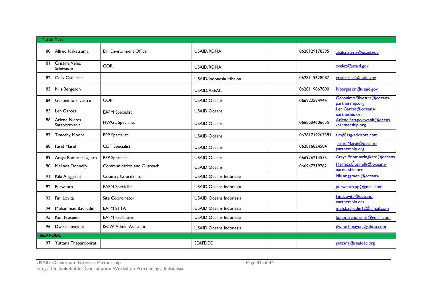| <b>Yustin Yusuf</b>                |                             |                                |                |                                                |
|------------------------------------|-----------------------------|--------------------------------|----------------|------------------------------------------------|
| 80. Alfred Nakatsuma               | Dir Environment Office      | <b>USAID/RDMA</b>              | 0628129178395  | anakatsuma@usaid.gov                           |
| 81. Cristina Velez<br>Srinivasan   | <b>COR</b>                  | <b>USAID/RDMA</b>              |                | cvelez@usaid.gov                               |
| 82. Celly Catharina                |                             | <b>USAID/Indonesia Mission</b> | 0628119628087  | ccatharina@usaid.gov                           |
| 83. Nils Bergeson                  |                             | USAID/ASEAN                    | 0628119867800  | Nbergeson@usaid.gov                            |
| 84. Geronimo Silvestre             | <b>COP</b>                  | <b>USAID Oceans</b>            | 066922594944   | Geronimo.Silvestre@oceans-<br>partnership.org  |
| 85. Len Garces                     | <b>EAFM Specialist</b>      | <b>USAID Oceans</b>            |                | Len.Garces@oceans-<br>partneship.org           |
| 86. Arlene Nietes<br>Satapornvanit | <b>HWGL Specialist</b>      | <b>USAID Oceans</b>            | 0668504606655  | Arlene.Satapornvanit@ocens<br>-partnership.org |
| 87. Timothy Moore                  | <b>PPP</b> Specialist       | <b>USAID Oceans</b>            | 06281719267384 | tim@ssg-advisors.com                           |
| 88. Farid Maruf                    | <b>CDT</b> Specialist       | <b>USAID Oceans</b>            | 062816824584   | Farid.Maruf@oceans-<br>partnership.org         |
| 89. Araya Poomsaringkarn           | PPP Specialist              | <b>USAID Oceans</b>            | 066926214555   | Araya.Poomsaringkarn@oceans                    |
| 90. Melinda Donnelly               | Communication and Outreach  | <b>USAID Oceans</b>            | 066947719782   | Melinda.Donnelly@oceans-<br>parnership.org     |
| 91. Kiki Anggraini                 | Country Coordinator         | <b>USAID Oceans Indonesia</b>  |                | kiki.anggraeni@oceans-                         |
| 92. Purwanto                       | <b>EAFM Specialist</b>      | <b>USAID Oceans Indonesia</b>  |                | purwanto.pp@gmail.com                          |
| 93. Fini Lovita                    | Site Coordinator            | <b>USAID Oceans Indonesia</b>  |                | Fini.Lovita@oceans-<br>nartnershin ord         |
| 94. Muhammad Badrudin              | <b>EAFM STTA</b>            | USAID Oceans Indonesia         |                | muh.badrudin   2@gmail.com                     |
| 95. Kun Praseno                    | <b>EAFM Facilitator</b>     | <b>USAID Oceans Indonesia</b>  |                | kunprasenobisnis@gmail.com                     |
| 96. Dwirachmayuni                  | <b>ISCW Admin Assistant</b> | <b>USAID Oceans Indonesia</b>  |                | dwirachmayuni2yahoo.com                        |
| <b>SEAFDEC</b>                     |                             |                                |                |                                                |
| 97. Yuttana Theparoonrat           |                             | <b>SEAFDEC</b>                 |                | yuttana@seafdec.org                            |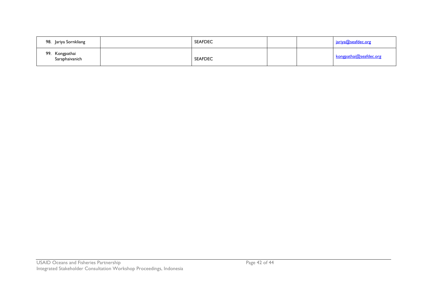| 98. Jariya Sornkliang            | <b>SEAFDEC</b> |  | <u>jariya@seafdec.org</u> |
|----------------------------------|----------------|--|---------------------------|
| 99. Kongpathai<br>Saraphaivanich | <b>SEAFDEC</b> |  | kongpathai@seafdec.org    |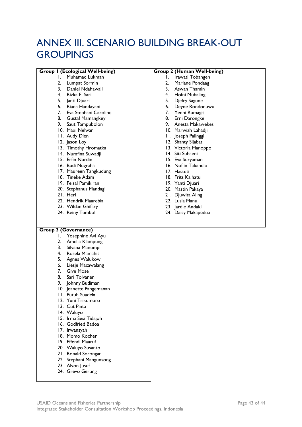# <span id="page-44-0"></span>ANNEX III. SCENARIO BUILDING BREAK-OUT **GROUPINGS**

| <b>Group I (Ecological Well-being)</b> | Group 2 (Human Well-being) |
|----------------------------------------|----------------------------|
| Muhamad Lukman<br>Ι.                   |                            |
|                                        | Ι.<br>Irawati Tobangen     |
| 2.<br>Lumpat Sormin                    | 2.<br>Mariane Pondaag      |
| 3.<br>Daniel Ndahawali                 | 3. Aswan Thamin            |
| Rizka F. Sari<br>4.                    | 4. Hofni Muhaling          |
| 5.<br>Janti Djuari                     | 5.<br>Djefry Sagune        |
| Riana Handayani<br>6.                  | 6.<br>Deyne Rondonuwu      |
| 7.<br>Eva Stephani Caroline            | 7. Yenni Rumagit           |
| 8.<br><b>Gustaf Mamangkey</b>          | 8. Erni Darongke           |
| Saut Tampubolon                        | 9. Anesta Makawekes        |
| 10. Maxi Nelwan                        | 10. Marwiah Lahadji        |
| 11. Audy Dien                          | 11. Joseph Palinggi        |
| 12. Jason Loy                          | 12. Shanty Sijabat         |
| 13. Timothy Hromatka                   | 13. Victoria Manoppo       |
| 14. Nurafina Suwadji                   | 14. Siti Suhaeni           |
| 15. Erfin Nurdin                       | 15. Eva Suryaman           |
| 16. Budi Nugraha                       | 16. Noflin Takahelo        |
| 17. Maureen Tangkudung                 | 17. Hastuti                |
| 18. Tineke Adam                        | 18. Frits Kaihatu          |
| 19. Feisal Pamikiran                   | 19. Yanti Djuari           |
|                                        | 20. Mastin Pakaya          |
| 20. Stephanus Mandagi<br>21. Heri      | 21. Djuwita Aling          |
|                                        | 22. Lusia Manu             |
| 22. Hendrik Maarebia                   |                            |
| 23. Wildan Ghifary                     | 23. Jardie Andaki          |
| 24. Reiny Tumbol                       | 24. Daisy Makapedua        |
|                                        |                            |
|                                        |                            |
| <b>Group 3 (Governance)</b>            |                            |
| Yosephine Avi Ayu<br>I.                |                            |
| Amelia Klampung<br>2.                  |                            |
| 3.<br>Silvana Manumpil                 |                            |
| 4.<br>Rosela Mamahit                   |                            |
| 5.<br>Agnes Walukow                    |                            |
| Liesje Macawalang<br>6.                |                            |
| 7.<br><b>Give Mose</b>                 |                            |
| 8.<br>Sari Tolvanen                    |                            |
| 9.<br>Johnny Budiman                   |                            |
| 10. Jeanette Pangemanan                |                            |
| II. Putuh Suadela                      |                            |
| 12. Yuni Trikumoro                     |                            |
| 13. Cut Pinta                          |                            |
| 14. Waluyo                             |                            |
| 15. Irma Sesi Tidajoh                  |                            |
| 16. Godfried Badoa                     |                            |
| 17. Irwansyah                          |                            |
| 18. Momo Kocher                        |                            |
| 19. Effendi Maaruf                     |                            |
|                                        |                            |
| 20. Waluyo Susanto                     |                            |
| 21. Ronald Sorongan                    |                            |
| 22. Stephani Mangunsong                |                            |
| 23. Alvon Jusuf                        |                            |
| 24. Grevo Gerung                       |                            |
|                                        |                            |